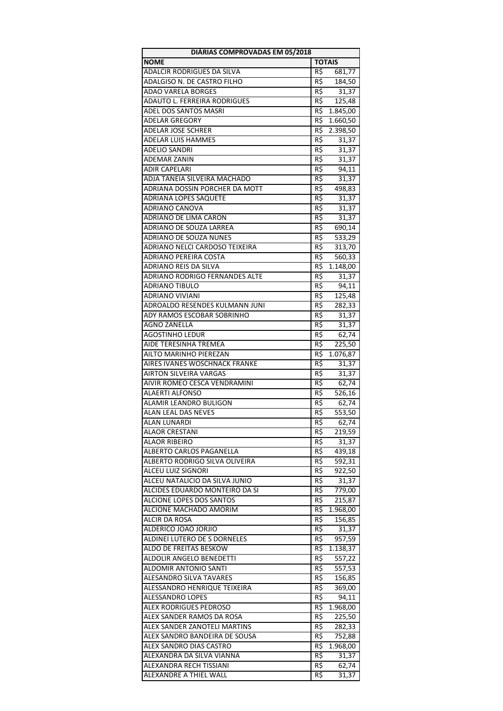| DIÁRIAS COMPROVADAS EM 05/2018           |                                    |  |
|------------------------------------------|------------------------------------|--|
| <b>NOME</b>                              | <b>TOTAIS</b>                      |  |
| ADALCIR RODRIGUES DA SILVA               | R\$<br>681,77                      |  |
| ADALGISO N. DE CASTRO FILHO              | $R\zeta$<br>184,50                 |  |
| ADAO VARELA BORGES                       | R\$<br>31,37                       |  |
| ADAUTO L. FERREIRA RODRIGUES             | R\$<br>125,48                      |  |
| ADEL DOS SANTOS MASRI                    | R\$<br>1.845,00                    |  |
| <b>ADELAR GREGORY</b>                    | R\$<br>1.660,50                    |  |
| ADELAR JOSE SCHRER                       | $R\zeta$<br>2.398,50               |  |
| ADELAR LUIS HAMMES                       | $R\zeta$<br>31,37                  |  |
| <b>ADELIO SANDRI</b>                     | R\$<br>31,37                       |  |
| <b>ADEMAR ZANIN</b>                      | R\$<br>31,37                       |  |
| <b>ADIR CAPELARI</b>                     | R\$<br>94,11                       |  |
| ADJA TANEIA SILVEIRA MACHADO             | R\$<br>31,37                       |  |
| ADRIANA DOSSIN PORCHER DA MOTT           | R\$<br>498,83                      |  |
| ADRIANA LOPES SAQUETE                    | $R\zeta$<br>31,37                  |  |
| ADRIANO CANOVA                           | R\$<br>31,37                       |  |
| ADRIANO DE LIMA CARON                    | R5<br>31,37                        |  |
| ADRIANO DE SOUZA LARREA                  | $R\overline{S}$<br>690,14          |  |
| <b>ADRIANO DE SOUZA NUNES</b>            | R\$<br>533,29                      |  |
| ADRIANO NELCI CARDOSO TEIXEIRA           | $R\frac{1}{2}$<br>313,70           |  |
| ADRIANO PEREIRA COSTA                    | R\$<br>560,33                      |  |
| ADRIANO REIS DA SILVA                    | $R\frac{2}{3}$<br>1.148,00         |  |
| <b>ADRIANO RODRIGO FERNANDES ALTE</b>    | R\$<br>31,37                       |  |
| ADRIANO TIBULO                           | R\$<br>94,11                       |  |
| ADRIANO VIVIANI                          | $\overline{\mathsf{RS}}$<br>125,48 |  |
| ADROALDO RESENDES KULMANN JUNI           | R\$<br>282,33                      |  |
| ADY RAMOS ESCOBAR SOBRINHO               | $R\zeta$<br>31,37                  |  |
| <b>AGNO ZANELLA</b>                      | R\$<br>31,37                       |  |
| AGOSTINHO LEDUR<br>AIDE TERESINHA TREMEA | R\$<br>62,74                       |  |
| AILTO MARINHO PIEREZAN                   | R\$<br>225,50<br>R\$               |  |
| AIRES IVANES WOSCHNACK FRANKE            | 1.076,87<br>R\$<br>31,37           |  |
| <b>AIRTON SILVEIRA VARGAS</b>            | R\$<br>31,37                       |  |
| AIVIR ROMEO CESCA VENDRAMINI             | $R\zeta$<br>62,74                  |  |
| <b>ALAERTI ALFONSO</b>                   | R\$<br>526,16                      |  |
| ALAMIR LEANDRO BULIGON                   | R\$<br>62,74                       |  |
| ALAN LEAL DAS NEVES                      | R\$<br>553,50                      |  |
| <b>ALAN LUNARDI</b>                      | R\$<br>62,74                       |  |
| <b>ALAOR CRESTANI</b>                    | 219,59<br>R\$                      |  |
| <b>ALAOR RIBEIRO</b>                     | R\$<br>31,37                       |  |
| ALBERTO CARLOS PAGANELLA                 | $R\zeta$<br>439,18                 |  |
| ALBERTO RODRIGO SILVA OLIVEIRA           | R\$<br>592,31                      |  |
| ALCEU LUIZ SIGNORI                       | R\$<br>922,50                      |  |
| ALCEU NATALICIO DA SILVA JUNIO           | R\$<br>31,37                       |  |
| ALCIDES EDUARDO MONTEIRO DA SI           | $R\overline{S}$<br>779,00          |  |
| ALCIONE LOPES DOS SANTOS                 | R\$<br>215,87                      |  |
| ALCIONE MACHADO AMORIM                   | R\$<br>1.968,00                    |  |
| <b>ALCIR DA ROSA</b>                     | R\$<br>156,85                      |  |
| ALDERICO JOAO JORJIO                     | $R\zeta$<br>31,37                  |  |
| ALDINEI LUTERO DE S DORNELES             | R\$<br>957,59                      |  |
| ALDO DE FREITAS BESKOW                   | $R\overline{5}$<br>1.138,37        |  |
| ALDOLIR ANGELO BENEDETTI                 | R\$<br>557,22                      |  |
| <b>ALDOMIR ANTONIO SANTI</b>             | $R\zeta$<br>557,53                 |  |
| ALESANDRO SILVA TAVARES                  | R\$<br>156,85                      |  |
| ALESSANDRO HENRIQUE TEIXEIRA             | R\$<br>369,00                      |  |
| ALESSANDRO LOPES                         | R\$<br>94,11                       |  |
| <b>ALEX RODRIGUES PEDROSO</b>            | $R\overline{S}$<br>1.968,00        |  |
| ALEX SANDER RAMOS DA ROSA                | R\$<br>225,50                      |  |
| ALEX SANDER ZANOTELI MARTINS             | R\$<br>282,33                      |  |
| ALEX SANDRO BANDEIRA DE SOUSA            | R\$<br>752,88                      |  |
| ALEX SANDRO DIAS CASTRO                  | R\$<br>1.968,00                    |  |
| ALEXANDRA DA SILVA VIANNA                | R\$<br>31,37                       |  |
| ALEXANDRA RECH TISSIANI                  | R\$<br>62,74                       |  |
| ALEXANDRE A THIEL WALL                   | R\$<br>31,37                       |  |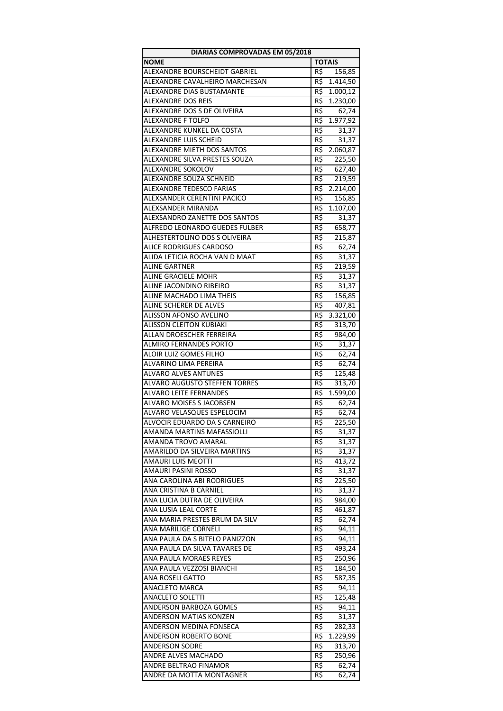| DIÁRIAS COMPROVADAS EM 05/2018                   |                           |
|--------------------------------------------------|---------------------------|
| <b>NOME</b>                                      | <b>TOTAIS</b>             |
| ALEXANDRE BOURSCHEIDT GABRIEL                    | R\$<br>156,85             |
| ALEXANDRE CAVALHEIRO MARCHESAN                   | R\$<br>1.414,50           |
| ALEXANDRE DIAS BUSTAMANTE                        | R\$<br>1.000,12           |
| <b>ALEXANDRE DOS REIS</b>                        | R\$<br>1.230,00           |
| ALEXANDRE DOS S DE OLIVEIRA                      | $R\zeta$<br>62,74         |
| ALEXANDRE F TOLFO                                | R\$<br>1.977,92           |
| ALEXANDRE KUNKEL DA COSTA                        | $R\zeta$<br>31,37         |
| ALEXANDRE LUIS SCHEID                            | $R\overline{5}$<br>31,37  |
| ALEXANDRE MIETH DOS SANTOS                       | R\$<br>2.060,87           |
| ALEXANDRE SILVA PRESTES SOUZA                    | R\$<br>225,50             |
| <b>ALEXANDRE SOKOLOV</b>                         | R\$                       |
|                                                  | 627,40                    |
| ALEXANDRE SOUZA SCHNEID                          | R\$<br>219,59             |
| ALEXANDRE TEDESCO FARIAS                         | R\$<br>2.214,00           |
| ALEXSANDER CERENTINI PACICO                      | R\$<br>156,85             |
| ALEXSANDER MIRANDA                               | $R\zeta$<br>1.107,00      |
| ALEXSANDRO ZANETTE DOS SANTOS                    | R\$<br>31,37              |
| ALFREDO LEONARDO GUEDES FULBER                   | $R\zeta$<br>658,77        |
| ALHESTERTOLINO DOS S OLIVEIRA                    | R\$<br>215,87             |
| ALICE RODRIGUES CARDOSO                          | R\$<br>62,74              |
| ALIDA LETICIA ROCHA VAN D MAAT                   | $R\frac{2}{3}$<br>31,37   |
| <b>ALINE GARTNER</b>                             | R5<br>219,59              |
| ALINE GRACIELE MOHR                              | $R\frac{2}{3}$<br>31,37   |
| ALINE JACONDINO RIBEIRO                          | $R\zeta$<br>31,37         |
| ALINE MACHADO LIMA THEIS                         | R\$<br>156,85             |
| ALINE SCHERER DE ALVES                           | R\$<br>407,81             |
| ALISSON AFONSO AVELINO                           | R\$<br>3.321,00           |
| <b>ALISSON CLEITON KUBIAKI</b>                   | R\$<br>313,70             |
| ALLAN DROESCHER FERREIRA                         | $R\zeta$<br>984,00        |
| <b>ALMIRO FERNANDES PORTO</b>                    | $R\zeta$<br>31,37         |
| ALOIR LUIZ GOMES FILHO                           | $R\zeta$<br>62,74         |
| ALVARINO LIMA PEREIRA                            | R\$<br>62,74              |
| <b>ALVARO ALVES ANTUNES</b>                      | R\$<br>125,48             |
| ALVARO AUGUSTO STEFFEN TORRES                    | $R\overline{5}$           |
|                                                  | 313,70                    |
| <b>ALVARO LEITE FERNANDES</b>                    | R5<br>1.599,00            |
| <b>ALVARO MOISES S JACOBSEN</b>                  | $R\zeta$<br>62,74         |
| ALVARO VELASQUES ESPELOCIM                       | $R\zeta$<br>62,74         |
| ALVOCIR EDUARDO DA S CARNEIRO                    | $R\zeta$<br>225,50        |
| AMANDA MARTINS MAFASSIOLLI                       | R\$<br>31,37              |
| AMANDA TROVO AMARAL                              | R\$<br>31,37              |
| AMARILDO DA SILVEIRA MARTINS                     | R\$<br>31,37              |
| <b>AMAURI LUIS MEOTTI</b>                        | R\$<br>413,72             |
| AMAURI PASINI ROSSO                              | R\$<br>31,37              |
| ANA CAROLINA ABI RODRIGUES                       | R\$<br>225,50             |
| ANA CRISTINA B CARNIEL                           | R\$<br>31,37              |
| ANA LUCIA DUTRA DE OLIVEIRA                      | R\$<br>984,00             |
| ANA LUSIA LEAL CORTE                             | R5<br>461,87              |
| ANA MARIA PRESTES BRUM DA SILV                   | R\$<br>62,74              |
| ANA MARILIGE CORNELI                             | R\$<br>94,11              |
| ANA PAULA DA S BITELO PANIZZON                   | R\$<br>94,11              |
| ANA PAULA DA SILVA TAVARES DE                    | R\$<br>493,24             |
| ANA PAULA MORAES REYES                           | R\$<br>250,96             |
| ANA PAULA VEZZOSI BIANCHI                        | R\$<br>184,50             |
| ANA ROSELI GATTO                                 | R\$<br>587,35             |
| ANACLETO MARCA                                   | R\$<br>94,11              |
| <b>ANACLETO SOLETTI</b>                          | R\$<br>125,48             |
|                                                  |                           |
| ANDERSON BARBOZA GOMES<br>ANDERSON MATIAS KONZEN | R\$<br>94,11              |
|                                                  | R\$<br>31,37              |
| ANDERSON MEDINA FONSECA                          | $R\overline{5}$<br>282,33 |
| ANDERSON ROBERTO BONE                            | R\$<br>1.229,99           |
| <b>ANDERSON SODRE</b>                            | R\$<br>313,70             |
| ANDRE ALVES MACHADO                              | R\$<br>250,96             |
| ANDRE BELTRAO FINAMOR                            | R\$<br>62,74              |
| ANDRE DA MOTTA MONTAGNER                         | R\$<br>62,74              |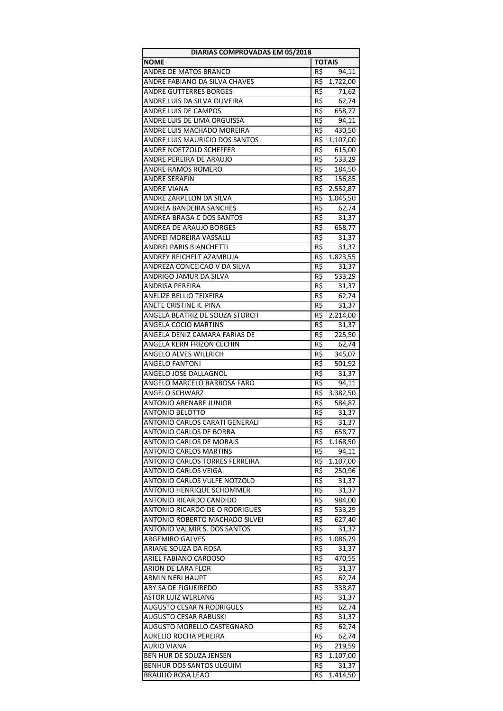| DIÁRIAS COMPROVADAS EM 05/2018                         |                                         |
|--------------------------------------------------------|-----------------------------------------|
| <b>NOME</b>                                            | <b>TOTAIS</b>                           |
| <b>ANDRE DE MATOS BRANCO</b>                           | R\$<br>94,11                            |
| ANDRE FABIANO DA SILVA CHAVES                          | 1.722,00<br>R\$                         |
| <b>ANDRE GUTTERRES BORGES</b>                          | $R\zeta$<br>71,62                       |
| ANDRE LUIS DA SILVA OLIVEIRA                           | R\$<br>62,74                            |
| ANDRE LUIS DE CAMPOS                                   | R\$<br>658,77                           |
| ANDRE LUIS DE LIMA ORGUISSA                            | R\$<br>94,11                            |
| ANDRE LUIS MACHADO MOREIRA                             | R\$<br>430,50                           |
| ANDRE LUIS MAURICIO DOS SANTOS                         | R\$<br>1.107,00                         |
| ANDRE NOETZOLD SCHEFFER                                | R\$<br>615,00                           |
| ANDRE PEREIRA DE ARAUJO                                | R\$<br>533,29                           |
| ANDRE RAMOS ROMERO                                     | R\$<br>184,50                           |
| <b>ANDRE SERAFIN</b>                                   | R\$<br>156,85                           |
| ANDRE VIANA                                            | R\$<br>2.552,87                         |
| ANDRE ZARPELON DA SILVA                                | R\$<br>1.045,50                         |
| ANDREA BANDEIRA SANCHES                                | R\$<br>62,74                            |
| <b>ANDREA BRAGA C DOS SANTOS</b>                       | R5<br>31,37                             |
| ANDREA DE ARAUJO BORGES                                | R\$<br>658,77                           |
| ANDREI MOREIRA VASSALLI                                | $R\frac{2}{3}$<br>31,37                 |
| <b>ANDREI PARIS BIANCHETTI</b>                         | R5<br>31,37                             |
| ANDREY REICHELT AZAMBUJA                               | R\$<br>1.823,55                         |
| ANDREZA CONCEICAO V DA SILVA                           | R\$<br>31,37                            |
| ANDRIGO JAMUR DA SILVA                                 | $R\frac{1}{2}$<br>533,29                |
| ANDRISA PEREIRA                                        | R\$<br>31,37                            |
| ANELIZE BELLIO TEIXEIRA<br>ANETE CRISTINE K. PINA      | $R\frac{2}{3}$<br>62,74<br>R\$<br>31,37 |
|                                                        |                                         |
| ANGELA BEATRIZ DE SOUZA STORCH<br>ANGELA COCIO MARTINS | R\$<br>2.214,00<br>R\$<br>31,37         |
| ANGELA DENIZ CAMARA FARIAS DE                          | $R\zeta$<br>225,50                      |
| ANGELA KERN FRIZON CECHIN                              | $R\zeta$<br>62,74                       |
| ANGELO ALVES WILLRICH                                  | R\$<br>345,07                           |
| <b>ANGELO FANTONI</b>                                  | R\$<br>501,92                           |
| ANGELO JOSE DALLAGNOL                                  | R\$<br>31,37                            |
| ANGELO MARCELO BARBOSA FARO                            | R\$<br>94,11                            |
| ANGELO SCHWARZ                                         | R\$ 3.382,50                            |
| ANTONIO ARENARE JUNIOR                                 | R\$<br>584,87                           |
| ANTONIO BELOTTO                                        | R\$<br>31,37                            |
| ANTONIO CARLOS CARATI GENERALI                         | R\$<br>31,37                            |
| ANTONIO CARLOS DE BORBA                                | R\$<br>658,77                           |
| <b>ANTONIO CARLOS DE MORAIS</b>                        | R\$<br>1.168,50                         |
| <b>ANTONIO CARLOS MARTINS</b>                          | R\$<br>94,11                            |
| ANTONIO CARLOS TORRES FERREIRA                         | R\$<br>1.107,00                         |
| <b>ANTONIO CARLOS VEIGA</b>                            | R\$<br>250,96                           |
| ANTONIO CARLOS VULFE NOTZOLD                           | R\$<br>31,37                            |
| ANTONIO HENRIQUE SCHOMMER                              | R\$<br>31,37                            |
| ANTONIO RICARDO CANDIDO                                | $R\overline{S}$<br>984,00               |
| ANTONIO RICARDO DE O RODRIGUES                         | R\$<br>533,29                           |
| ANTONIO ROBERTO MACHADO SILVEI                         | R\$<br>627,40                           |
| ANTONIO VALMIR S. DOS SANTOS                           | R\$<br>31,37                            |
| <b>ARGEMIRO GALVES</b>                                 | R\$<br>1.086,79                         |
| ARIANE SOUZA DA ROSA                                   | R\$<br>31,37                            |
| ARIEL FABIANO CARDOSO                                  | R\$<br>470,55                           |
| ARION DE LARA FLOR                                     | $R\overline{S}$<br>31,37                |
| <b>ARMIN NERI HAUPT</b>                                | R\$<br>62,74                            |
| ARY SA DE FIGUEIREDO                                   | R\$<br>338,87                           |
| ASTOR LUIZ WERLANG                                     | R\$<br>31,37                            |
| <b>AUGUSTO CESAR N RODRIGUES</b>                       | $R\overline{S}$<br>62,74                |
| <b>AUGUSTO CESAR RABUSKI</b>                           | R\$<br>31,37                            |
| AUGUSTO MORELLO CASTEGNARO                             | R\$<br>62,74                            |
| <b>AURELIO ROCHA PEREIRA</b>                           | R\$<br>62,74                            |
| <b>AURIO VIANA</b>                                     | R\$<br>219,59                           |
| BEN HUR DE SOUZA JENSEN                                | R\$<br>1.107,00                         |
| BENHUR DOS SANTOS ULGUIM                               | R\$<br>31,37                            |
| <b>BRAULIO ROSA LEAO</b>                               | R\$<br>1.414,50                         |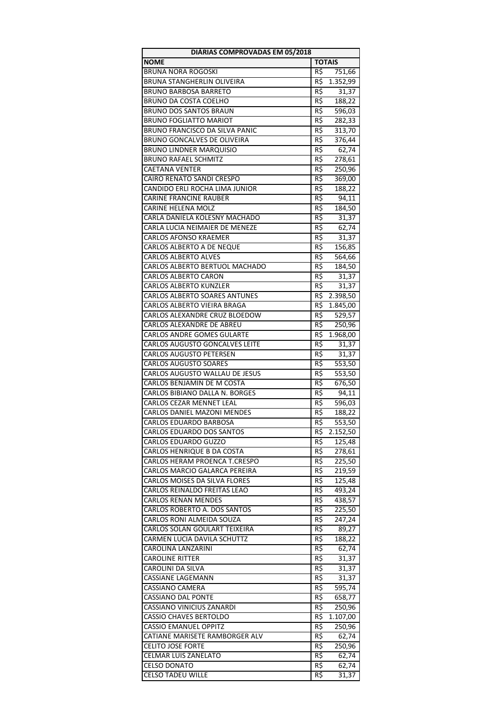| DIÁRIAS COMPROVADAS EM 05/2018    |                 |               |
|-----------------------------------|-----------------|---------------|
| <b>NOME</b>                       |                 | <b>TOTAIS</b> |
| <b>BRUNA NORA ROGOSKI</b>         | R\$             | 751,66        |
| BRUNA STANGHERLIN OLIVEIRA        | R\$             | 1.352,99      |
| <b>BRUNO BARBOSA BARRETO</b>      | $R\zeta$        | 31,37         |
| <b>BRUNO DA COSTA COELHO</b>      | R\$             | 188,22        |
| BRUNO DOS SANTOS BRAUN            | R\$             | 596,03        |
| <b>BRUNO FOGLIATTO MARIOT</b>     | R\$             | 282,33        |
| BRUNO FRANCISCO DA SILVA PANIC    | $R\overline{S}$ | 313,70        |
| BRUNO GONCALVES DE OLIVEIRA       | R\$             | 376,44        |
| <b>BRUNO LINDNER MARQUISIO</b>    | $R\zeta$        | 62,74         |
| <b>BRUNO RAFAEL SCHMITZ</b>       | R\$             | 278,61        |
| <b>CAETANA VENTER</b>             | R\$             | 250,96        |
| CAIRO RENATO SANDI CRESPO         | R\$             | 369,00        |
| CANDIDO ERLI ROCHA LIMA JUNIOR    | R\$             | 188,22        |
| <b>CARINE FRANCINE RAUBER</b>     | R\$             | 94,11         |
| <b>CARINE HELENA MOLZ</b>         | R\$             | 184,50        |
| CARLA DANIELA KOLESNY MACHADO     | R\$             | 31,37         |
| CARLA LUCIA NEIMAIER DE MENEZE    | R\$             | 62,74         |
| <b>CARLOS AFONSO KRAEMER</b>      | R\$             | 31,37         |
| CARLOS ALBERTO A DE NEQUE         | $R\overline{S}$ | 156,85        |
| <b>CARLOS ALBERTO ALVES</b>       | R\$             | 564,66        |
| CARLOS ALBERTO BERTUOL MACHADO    | R\$             | 184,50        |
| <b>CARLOS ALBERTO CARON</b>       | $R\zeta$        | 31,37         |
| <b>CARLOS ALBERTO KUNZLER</b>     | R\$             | 31,37         |
| CARLOS ALBERTO SOARES ANTUNES     | R\$             | 2.398,50      |
| CARLOS ALBERTO VIEIRA BRAGA       | R\$             | 1.845,00      |
| CARLOS ALEXANDRE CRUZ BLOEDOW     | $R\zeta$        | 529,57        |
| CARLOS ALEXANDRE DE ABREU         | R\$             | 250,96        |
| <b>CARLOS ANDRE GOMES GULARTE</b> | R\$             | 1.968,00      |
| CARLOS AUGUSTO GONCALVES LEITE    | $R\zeta$        | 31,37         |
| <b>CARLOS AUGUSTO PETERSEN</b>    | R\$             | 31,37         |
| <b>CARLOS AUGUSTO SOARES</b>      | R\$             | 553,50        |
| CARLOS AUGUSTO WALLAU DE JESUS    | $R\overline{S}$ | 553,50        |
| CARLOS BENJAMIN DE M COSTA        | R\$             | 676,50        |
| CARLOS BIBIANO DALLA N. BORGES    | $R\frac{2}{3}$  | 94,11         |
| <b>CARLOS CEZAR MENNET LEAL</b>   | R\$             | 596,03        |
| CARLOS DANIEL MAZONI MENDES       | R\$             | 188,22        |
| CARLOS EDUARDO BARBOSA            | $R\zeta$        | 553,50        |
| CARLOS EDUARDO DOS SANTOS         | R\$             | 2.152,50      |
| CARLOS EDUARDO GUZZO              | R\$             | 125,48        |
| CARLOS HENRIQUE B DA COSTA        | R\$             |               |
| CARLOS HERAM PROENCA T.CRESPO     |                 | 278,61        |
| CARLOS MARCIO GALARCA PEREIRA     | R\$             | 225,50        |
|                                   | $R\zeta$        | 219,59        |
| CARLOS MOISES DA SILVA FLORES     | R\$             | 125,48        |
| CARLOS REINALDO FREITAS LEAO      | R\$             | 493,24        |
| <b>CARLOS RENAN MENDES</b>        | R\$             | 438,57        |
| CARLOS ROBERTO A. DOS SANTOS      | R\$             | 225,50        |
| CARLOS RONI ALMEIDA SOUZA         | R\$             | 247,24        |
| CARLOS SOLAN GOULART TEIXEIRA     | R\$             | 89,27         |
| CARMEN LUCIA DAVILA SCHUTTZ       | R\$             | 188,22        |
| CAROLINA LANZARINI                | R\$             | 62,74         |
| <b>CAROLINE RITTER</b>            | R\$             | 31,37         |
| CAROLINI DA SILVA                 | R\$             | 31,37         |
| <b>CASSIANE LAGEMANN</b>          | R\$             | 31,37         |
| CASSIANO CAMERA                   | R\$             | 595,74        |
| <b>CASSIANO DAL PONTE</b>         | R\$             | 658,77        |
| CASSIANO VINICIUS ZANARDI         | R\$             | 250,96        |
| <b>CASSIO CHAVES BERTOLDO</b>     | R\$             | 1.107,00      |
| <b>CASSIO EMANUEL OPPITZ</b>      | R\$             | 250,96        |
| CATIANE MARISETE RAMBORGER ALV    | R\$             | 62,74         |
| <b>CELITO JOSE FORTE</b>          | R\$             | 250,96        |
| CELMAR LUIS ZANELATO              | R\$             | 62,74         |
| <b>CELSO DONATO</b>               | R\$             | 62,74         |
| <b>CELSO TADEU WILLE</b>          | R\$             | 31,37         |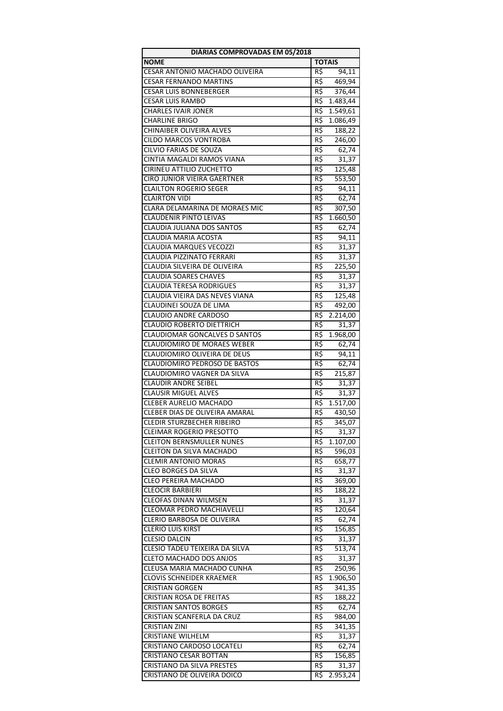|                                      | DIÁRIAS COMPROVADAS EM 05/2018 |  |
|--------------------------------------|--------------------------------|--|
| <b>NOME</b>                          | <b>TOTAIS</b>                  |  |
| CESAR ANTONIO MACHADO OLIVEIRA       | R\$<br>94,11                   |  |
| <b>CESAR FERNANDO MARTINS</b>        | 469,94<br>R\$                  |  |
| <b>CESAR LUIS BONNEBERGER</b>        | R\$<br>376,44                  |  |
| <b>CESAR LUIS RAMBO</b>              | R\$<br>1.483,44                |  |
| <b>CHARLES IVAIR JONER</b>           | R\$<br>1.549,61                |  |
| <b>CHARLINE BRIGO</b>                | R\$<br>1.086,49                |  |
| CHINAIBER OLIVEIRA ALVES             | R\$<br>188,22                  |  |
| CILDO MARCOS VONTROBA                | $R\overline{S}$<br>246,00      |  |
| <b>CILVIO FARIAS DE SOUZA</b>        | R\$<br>62,74                   |  |
| CINTIA MAGALDI RAMOS VIANA           | $R\frac{2}{3}$<br>31,37        |  |
| CIRINEU ATTILIO ZUCHETTO             |                                |  |
|                                      | R\$<br>125,48                  |  |
| CIRO JUNIOR VIEIRA GAERTNER          | R\$<br>553,50                  |  |
| <b>CLAILTON ROGERIO SEGER</b>        | R\$<br>94,11                   |  |
| <b>CLAIRTON VIDI</b>                 | R\$<br>62,74                   |  |
| CLARA DELAMARINA DE MORAES MIC       | R\$<br>307,50                  |  |
| <b>CLAUDENIR PINTO LEIVAS</b>        | R\$<br>1.660,50                |  |
| <b>CLAUDIA JULIANA DOS SANTOS</b>    | $R\zeta$<br>62,74              |  |
| <b>CLAUDIA MARIA ACOSTA</b>          | R\$<br>94,11                   |  |
| <b>CLAUDIA MARQUES VECOZZI</b>       | R\$<br>31,37                   |  |
| <b>CLAUDIA PIZZINATO FERRARI</b>     | R\$<br>31,37                   |  |
| CLAUDIA SILVEIRA DE OLIVEIRA         | 225,50<br>R\$                  |  |
| <b>CLAUDIA SOARES CHAVES</b>         | R\$<br>31,37                   |  |
| <b>CLAUDIA TERESA RODRIGUES</b>      | $R\zeta$<br>31,37              |  |
| CLAUDIA VIEIRA DAS NEVES VIANA       | R\$<br>125,48                  |  |
| CLAUDINEI SOUZA DE LIMA              | R\$<br>492,00                  |  |
| CLAUDIO ANDRE CARDOSO                | R\$<br>2.214,00                |  |
| <b>CLAUDIO ROBERTO DIETTRICH</b>     | R\$<br>31,37                   |  |
| <b>CLAUDIOMAR GONCALVES D SANTOS</b> | 1.968,00<br>R\$                |  |
| <b>CLAUDIOMIRO DE MORAES WEBER</b>   | $R\zeta$<br>62,74              |  |
| CLAUDIOMIRO OLIVEIRA DE DEUS         | $R\zeta$<br>94,11              |  |
| CLAUDIOMIRO PEDROSO DE BASTOS        | R\$                            |  |
| CLAUDIOMIRO VAGNER DA SILVA          | 62,74<br>R\$                   |  |
|                                      | 215,87                         |  |
| <b>CLAUDIR ANDRE SEIBEL</b>          | R5<br>31,37                    |  |
| <b>CLAUSIR MIGUEL ALVES</b>          | R\$<br>31,37                   |  |
| <b>CLEBER AURELIO MACHADO</b>        | R\$<br>1.517,00                |  |
| CLEBER DIAS DE OLIVEIRA AMARAL       | R\$<br>430,50                  |  |
| CLEDIR STURZBECHER RIBEIRO           | $R\zeta$<br>345,07             |  |
| <b>CLEIMAR ROGERIO PRESOTTO</b>      | R\$<br>31,37                   |  |
| <b>CLEITON BERNSMULLER NUNES</b>     | R\$<br>1.107,00                |  |
| CLEITON DA SILVA MACHADO             | R\$<br>596,03                  |  |
| <b>CLEMIR ANTONIO MORAS</b>          | R\$<br>658,77                  |  |
| <b>CLEO BORGES DA SILVA</b>          | R\$<br>31,37                   |  |
| <b>CLEO PEREIRA MACHADO</b>          | R\$<br>369,00                  |  |
| <b>CLEOCIR BARBIERI</b>              | $R\zeta$<br>188,22             |  |
| <b>CLEOFAS DINAN WILMSEN</b>         | R\$<br>31,37                   |  |
| <b>CLEOMAR PEDRO MACHIAVELLI</b>     | R\$<br>120,64                  |  |
| CLERIO BARBOSA DE OLIVEIRA           | R\$<br>62,74                   |  |
| <b>CLERIO LUIS KIRST</b>             | $R\zeta$<br>156,85             |  |
| <b>CLESIO DALCIN</b>                 | R\$<br>31,37                   |  |
| CLESIO TADEU TEIXEIRA DA SILVA       | R\$<br>513,74                  |  |
| CLETO MACHADO DOS ANJOS              | R\$<br>31,37                   |  |
| CLEUSA MARIA MACHADO CUNHA           | R\$<br>250,96                  |  |
| <b>CLOVIS SCHNEIDER KRAEMER</b>      | R\$<br>1.906,50                |  |
| <b>CRISTIAN GORGEN</b>               |                                |  |
|                                      | R\$<br>341,35                  |  |
| CRISTIAN ROSA DE FREITAS             | R\$<br>188,22                  |  |
| <b>CRISTIAN SANTOS BORGES</b>        | R\$<br>62,74                   |  |
| CRISTIAN SCANFERLA DA CRUZ           | R\$<br>984,00                  |  |
| <b>CRISTIAN ZINI</b>                 | $R\overline{5}$<br>341,35      |  |
| <b>CRISTIANE WILHELM</b>             | R\$<br>31,37                   |  |
| CRISTIANO CARDOSO LOCATELI           | R\$<br>62,74                   |  |
| <b>CRISTIANO CESAR BOTTAN</b>        | R\$<br>156,85                  |  |
| <b>CRISTIANO DA SILVA PRESTES</b>    | R\$<br>31,37                   |  |
| CRISTIANO DE OLIVEIRA DOICO          | R\$<br>2.953,24                |  |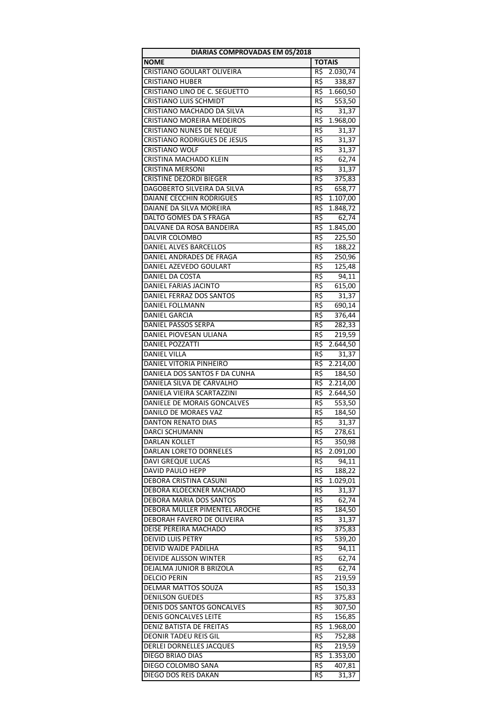| DIÁRIAS COMPROVADAS EM 05/2018      |                             |
|-------------------------------------|-----------------------------|
| <b>NOME</b>                         | <b>TOTAIS</b>               |
| CRISTIANO GOULART OLIVEIRA          | R\$<br>2.030,74             |
| <b>CRISTIANO HUBER</b>              | R\$<br>338,87               |
| CRISTIANO LINO DE C. SEGUETTO       | R\$<br>1.660,50             |
| <b>CRISTIANO LUIS SCHMIDT</b>       | R\$<br>553,50               |
| CRISTIANO MACHADO DA SILVA          | $R\zeta$<br>31,37           |
| CRISTIANO MOREIRA MEDEIROS          | R\$<br>1.968,00             |
| <b>CRISTIANO NUNES DE NEQUE</b>     | $R\frac{2}{3}$<br>31,37     |
|                                     |                             |
| <b>CRISTIANO RODRIGUES DE JESUS</b> | R\$<br>31,37                |
| <b>CRISTIANO WOLF</b>               | R\$<br>31,37                |
| CRISTINA MACHADO KLEIN              | $R\zeta$<br>62,74           |
| <b>CRISTINA MERSONI</b>             | $R\zeta$<br>31,37           |
| CRISTINE DEZORDI BIEGER             | R\$<br>375,83               |
| DAGOBERTO SILVEIRA DA SILVA         | R\$<br>658,77               |
| DAIANE CECCHIN RODRIGUES            | R\$<br>1.107,00             |
| DAIANE DA SILVA MOREIRA             | $R\zeta$<br>1.848,72        |
| DALTO GOMES DA S FRAGA              | R\$<br>62,74                |
| DALVANE DA ROSA BANDEIRA            | $R\frac{2}{3}$<br>1.845,00  |
| DALVIR COLOMBO                      | R\$<br>225,50               |
| <b>DANIEL ALVES BARCELLOS</b>       | R\$<br>188,22               |
| DANIEL ANDRADES DE FRAGA            | $R\zeta$<br>250,96          |
| DANIEL AZEVEDO GOULART              | R\$<br>125,48               |
| DANIEL DA COSTA                     | R\$ 94,11                   |
| DANIEL FARIAS JACINTO               | R\$<br>615,00               |
| DANIEL FERRAZ DOS SANTOS            | R\$<br>31,37                |
| DANIEL FOLLMANN                     | $R\zeta$<br>690,14          |
| <b>DANIEL GARCIA</b>                | $R\zeta$<br>376,44          |
|                                     |                             |
| DANIEL PASSOS SERPA                 | R\$<br>282,33               |
| DANIEL PIOVESAN ULIANA              | R\$<br>219,59               |
| DANIEL POZZATTI                     | $R\zeta$<br>2.644,50        |
| <b>DANIEL VILLA</b>                 | $R\zeta$<br>31,37           |
| DANIEL VITORIA PINHEIRO             | 2.214,00<br>R\$             |
| DANIELA DOS SANTOS F DA CUNHA       | R\$<br>184,50               |
| DANIELA SILVA DE CARVALHO           | $R\overline{S}$<br>2.214,00 |
| DANIELA VIEIRA SCARTAZZINI          | R\$<br>2.644,50             |
| DANIELE DE MORAIS GONCALVES         | $R\zeta$<br>553,50          |
| DANILO DE MORAES VAZ                | R5<br>184,50                |
| <b>DANTON RENATO DIAS</b>           | $R\zeta$<br>31,37           |
| <b>DARCI SCHUMANN</b>               | R\$<br>278,61               |
| <b>DARLAN KOLLET</b>                | R\$<br>350,98               |
| DARLAN LORETO DORNELES              | R\$<br>2.091,00             |
| <b>DAVI GREQUE LUCAS</b>            | R\$<br>94,11                |
| <b>DAVID PAULO HEPP</b>             | R\$<br>188,22               |
| DEBORA CRISTINA CASUNI              | R\$<br>1.029,01             |
| DEBORA KLOECKNER MACHADO            | R\$<br>31,37                |
| DEBORA MARIA DOS SANTOS             | R\$<br>62,74                |
| DEBORA MULLER PIMENTEL AROCHE       | $R\overline{S}$<br>184,50   |
| DEBORAH FAVERO DE OLIVEIRA          | R\$<br>31,37                |
| DEISE PEREIRA MACHADO               | $R\zeta$<br>375,83          |
| <b>DEIVID LUIS PETRY</b>            | R\$                         |
| DEIVID WAIDE PADILHA                | 539,20<br>R\$               |
|                                     | 94,11                       |
| DEIVIDE ALISSON WINTER              | R\$<br>62,74                |
| DEJALMA JUNIOR B BRIZOLA            | R\$<br>62,74                |
| <b>DELCIO PERIN</b>                 | R\$<br>219,59               |
| <b>DELMAR MATTOS SOUZA</b>          | R\$<br>150,33               |
| <b>DENILSON GUEDES</b>              | $R\zeta$<br>375,83          |
| <b>DENIS DOS SANTOS GONCALVES</b>   | R\$<br>307,50               |
| <b>DENIS GONCALVES LEITE</b>        | R\$<br>156,85               |
| DENIZ BATISTA DE FREITAS            | R\$<br>1.968,00             |
| <b>DEONIR TADEU REIS GIL</b>        | R5<br>752,88                |
| DERLEI DORNELLES JACQUES            | R\$<br>219,59               |
| DIEGO BRIAO DIAS                    | R\$<br>1.353,00             |
| DIEGO COLOMBO SANA                  | R\$<br>407,81               |
| DIEGO DOS REIS DAKAN                | R\$<br>31,37                |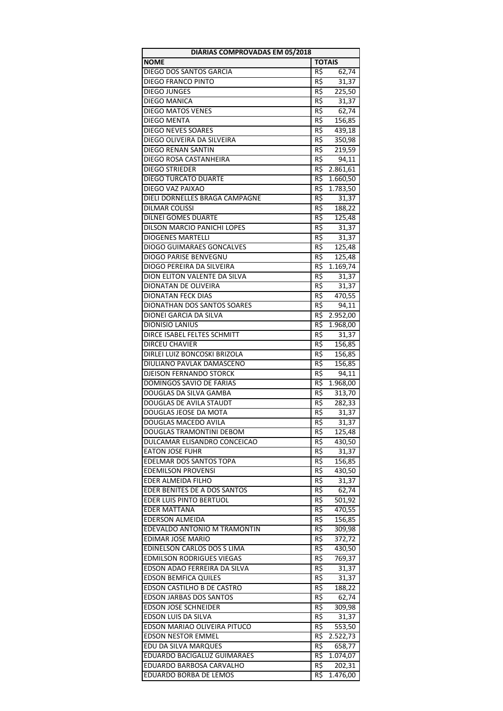| DIÁRIAS COMPROVADAS EM 05/2018     |                            |
|------------------------------------|----------------------------|
| <b>NOME</b>                        | <b>TOTAIS</b>              |
| DIEGO DOS SANTOS GARCIA            | R\$<br>62,74               |
| <b>DIEGO FRANCO PINTO</b>          | $R\zeta$<br>31,37          |
| <b>DIEGO JUNGES</b>                | $R\zeta$<br>225,50         |
| DIEGO MANICA                       | R\$<br>31,37               |
| <b>DIEGO MATOS VENES</b>           | R\$<br>62,74               |
| <b>DIEGO MENTA</b>                 | $R\overline{S}$<br>156,85  |
| <b>DIEGO NEVES SOARES</b>          | $R\frac{1}{2}$<br>439,18   |
| DIEGO OLIVEIRA DA SILVEIRA         | R\$<br>350,98              |
| <b>DIEGO RENAN SANTIN</b>          | $R\zeta$                   |
|                                    | 219,59                     |
| DIEGO ROSA CASTANHEIRA             | R\$<br>94,11               |
| <b>DIEGO STRIEDER</b>              | R\$<br>2.861,61            |
| <b>DIEGO TURCATO DUARTE</b>        | R\$<br>1.660,50            |
| DIEGO VAZ PAIXAO                   | R\$<br>1.783,50            |
| DIELI DORNELLES BRAGA CAMPAGNE     | R\$<br>31,37               |
| <b>DILMAR COLISSI</b>              | $R\frac{1}{2}$<br>188,22   |
| DILNEI GOMES DUARTE                | R\$<br>125,48              |
| DILSON MARCIO PANICHI LOPES        | R\$<br>31,37               |
| <b>DIOGENES MARTELLI</b>           | $R\frac{1}{2}$<br>31,37    |
| <b>DIOGO GUIMARAES GONCALVES</b>   | R\$<br>125,48              |
| DIOGO PARISE BENVEGNU              | R\$<br>125,48              |
| DIOGO PEREIRA DA SILVEIRA          | $R\frac{2}{3}$<br>1.169,74 |
| DION ELITON VALENTE DA SILVA       | $R\frac{2}{3}$<br>31,37    |
| DIONATAN DE OLIVEIRA               | R\$<br>31,37               |
| <b>DIONATAN FECK DIAS</b>          | R\$<br>470,55              |
| <b>DIONATHAN DOS SANTOS SOARES</b> | $R\zeta$<br>94,11          |
| DIONEI GARCIA DA SILVA             | R\$<br>2.952,00            |
| <b>DIONISIO LANIUS</b>             | $R\frac{2}{3}$<br>1.968,00 |
| DIRCE ISABEL FELTES SCHMITT        | R\$<br>31,37               |
| <b>DIRCEU CHAVIER</b>              | R\$<br>156,85              |
| DIRLEI LUIZ BONCOSKI BRIZOLA       | R\$                        |
| DIULIANO PAVLAK DAMASCENO          | 156,85<br>$R\overline{S}$  |
|                                    | 156,85                     |
| <b>DJEISON FERNANDO STORCK</b>     | R\$<br>94,11               |
| DOMINGOS SAVIO DE FARIAS           | R\$<br>1.968,00            |
| DOUGLAS DA SILVA GAMBA             | $R\zeta$<br>313,70         |
| DOUGLAS DE AVILA STAUDT            | $R\zeta$<br>282,33         |
| DOUGLAS JEOSE DA MOTA              | $R\zeta$<br>31,37          |
| DOUGLAS MACEDO AVILA               | $R\zeta$<br>31,37          |
| DOUGLAS TRAMONTINI DEBOM           | R\$<br>125,48              |
| DULCAMAR ELISANDRO CONCEICAO       | R\$<br>430,50              |
| <b>EATON JOSE FUHR</b>             | R\$<br>31,37               |
| EDELMAR DOS SANTOS TOPA            | R\$<br>156,85              |
| <b>EDEMILSON PROVENSI</b>          | R\$<br>430,50              |
| <b>EDER ALMEIDA FILHO</b>          | R\$<br>31,37               |
| EDER BENITES DE A DOS SANTOS       | $R\overline{S}$<br>62,74   |
| EDER LUIS PINTO BERTUOL            | R\$<br>501,92              |
| <b>EDER MATTANA</b>                | R\$<br>470,55              |
| EDERSON ALMEIDA                    | R\$<br>156,85              |
| EDEVALDO ANTONIO M TRAMONTIN       | R\$<br>309,98              |
| EDIMAR JOSE MARIO                  | R\$<br>372,72              |
| EDINELSON CARLOS DOS S LIMA        | $R\zeta$<br>430,50         |
| <b>EDMILSON RODRIGUES VIEGAS</b>   | R\$<br>769,37              |
| EDSON ADAO FERREIRA DA SILVA       | R\$<br>31,37               |
| <b>EDSON BEMFICA QUILES</b>        | $R\zeta$<br>31,37          |
| EDSON CASTILHO B DE CASTRO         | R\$<br>188,22              |
|                                    |                            |
| <b>EDSON JARBAS DOS SANTOS</b>     | R\$<br>62,74               |
| <b>EDSON JOSE SCHNEIDER</b>        | R\$<br>309,98              |
| <b>EDSON LUIS DA SILVA</b>         | R\$<br>31,37               |
| EDSON MARIAO OLIVEIRA PITUCO       | R\$<br>553,50              |
| <b>EDSON NESTOR EMMEL</b>          | R\$<br>2.522,73            |
| EDU DA SILVA MARQUES               | R\$<br>658,77              |
| EDUARDO BACIGALUZ GUIMARAES        | $R\frac{2}{3}$<br>1.074,07 |
| EDUARDO BARBOSA CARVALHO           | R\$<br>202,31              |
| EDUARDO BORBA DE LEMOS             | R\$<br>1.476,00            |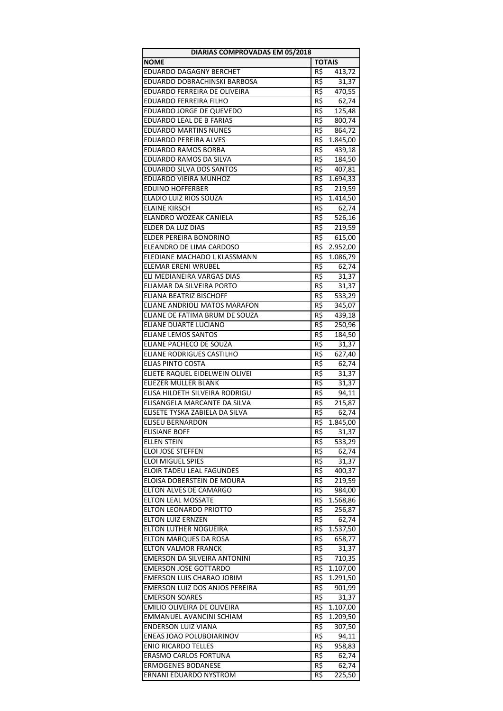| DIÁRIAS COMPROVADAS EM 05/2018   |                           |
|----------------------------------|---------------------------|
| <b>NOME</b>                      | <b>TOTAIS</b>             |
| EDUARDO DAGAGNY BERCHET          | R\$<br>413,72             |
| EDUARDO DOBRACHINSKI BARBOSA     | R\$<br>31,37              |
| EDUARDO FERREIRA DE OLIVEIRA     | $R\zeta$<br>470,55        |
| <b>EDUARDO FERREIRA FILHO</b>    | R\$<br>62,74              |
| EDUARDO JORGE DE QUEVEDO         | $R\zeta$<br>125,48        |
| EDUARDO LEAL DE B FARIAS         | R\$<br>800,74             |
| <b>EDUARDO MARTINS NUNES</b>     | R\$<br>864,72             |
| <b>EDUARDO PEREIRA ALVES</b>     | R\$                       |
|                                  | 1.845,00                  |
| EDUARDO RAMOS BORBA              | R\$<br>439,18             |
| EDUARDO RAMOS DA SILVA           | R\$<br>184,50             |
| EDUARDO SILVA DOS SANTOS         | R\$<br>407,81             |
| EDUARDO VIEIRA MUNHOZ            | R\$<br>1.694,33           |
| <b>EDUINO HOFFERBER</b>          | R\$<br>219,59             |
| ELADIO LUIZ RIOS SOUZA           | R\$<br>1.414,50           |
| <b>ELAINE KIRSCH</b>             | R\$<br>62,74              |
| <b>ELANDRO WOZEAK CANIELA</b>    | R5<br>$\overline{526,}16$ |
| ELDER DA LUZ DIAS                | R\$<br>219,59             |
| ELDER PEREIRA BONORINO           | R\$<br>615,00             |
| ELEANDRO DE LIMA CARDOSO         | R\$<br>2.952,00           |
| ELEDIANE MACHADO L KLASSMANN     | R\$<br>1.086,79           |
| ELEMAR ERENI WRUBEL              | R\$<br>62,74              |
| ELI MEDIANEIRA VARGAS DIAS       | $R\frac{2}{3}$<br>31,37   |
| ELIAMAR DA SILVEIRA PORTO        | R\$<br>31,37              |
| ELIANA BEATRIZ BISCHOFF          | R\$<br>533,29             |
| ELIANE ANDRIOLI MATOS MARAFON    | R\$<br>345,07             |
| ELIANE DE FATIMA BRUM DE SOUZA   | R\$<br>439,18             |
| ELIANE DUARTE LUCIANO            | R\$<br>250,96             |
| <b>ELIANE LEMOS SANTOS</b>       | $R\zeta$<br>184,50        |
| ELIANE PACHECO DE SOUZA          | $R\zeta$<br>31,37         |
| ELIANE RODRIGUES CASTILHO        | R\$                       |
| ELIAS PINTO COSTA                | 627,40<br>R\$<br>62,74    |
|                                  |                           |
| ELIETE RAQUEL EIDELWEIN OLIVEI   | R\$<br>31,37              |
| ELIEZER MULLER BLANK             | R\$<br>31,37              |
| ELISA HILDETH SILVEIRA RODRIGU   | R\$<br>94,11              |
| ELISANGELA MARCANTE DA SILVA     | R\$<br>215,87             |
| ELISETE TYSKA ZABIELA DA SILVA   | R\$<br>62,74              |
| <b>ELISEU BERNARDON</b>          | R\$<br>1.845,00           |
| <b>ELISIANE BOFF</b>             | 31,37<br>R\$              |
| <b>ELLEN STEIN</b>               | R\$<br>533,29             |
| ELOI JOSE STEFFEN                | R\$<br>62,74              |
| <b>ELOI MIGUEL SPIES</b>         | $R\zeta$<br>31,37         |
| ELOIR TADEU LEAL FAGUNDES        | R\$<br>400,37             |
| ELOISA DOBERSTEIN DE MOURA       | R\$<br>219,59             |
| ELTON ALVES DE CAMARGO           | R\$<br>984,00             |
| <b>ELTON LEAL MOSSATE</b>        | R\$<br>1.568,86           |
| ELTON LEONARDO PRIOTTO           | $R\zeta$<br>256,87        |
| <b>ELTON LUIZ ERNZEN</b>         | $R\frac{2}{3}$<br>62,74   |
| ELTON LUTHER NOGUEIRA            | R\$<br>1.537,50           |
| ELTON MARQUES DA ROSA            | R\$<br>658,77             |
| <b>ELTON VALMOR FRANCK</b>       | R\$<br>31,37              |
| EMERSON DA SILVEIRA ANTONINI     | R\$<br>710,35             |
| <b>EMERSON JOSE GOTTARDO</b>     | R\$<br>1.107,00           |
| <b>EMERSON LUIS CHARAO JOBIM</b> | R\$<br>1.291,50           |
| EMERSON LUIZ DOS ANJOS PEREIRA   | R\$<br>901,99             |
| <b>EMERSON SOARES</b>            | R\$<br>31,37              |
| EMILIO OLIVEIRA DE OLIVEIRA      | $R\zeta$                  |
|                                  | 1.107,00                  |
| EMMANUEL AVANCINI SCHIAM         | R\$<br>1.209,50           |
| ENDERSON LUIZ VIANA              | R\$<br>307,50             |
| ENEAS JOAO POLUBOIARINOV         | R\$<br>94,11              |
| <b>ENIO RICARDO TELLES</b>       | $R\zeta$<br>958,83        |
| <b>ERASMO CARLOS FORTUNA</b>     | R\$<br>62,74              |
| <b>ERMOGENES BODANESE</b>        | R\$<br>62,74              |
| ERNANI EDUARDO NYSTROM           | R\$<br>225,50             |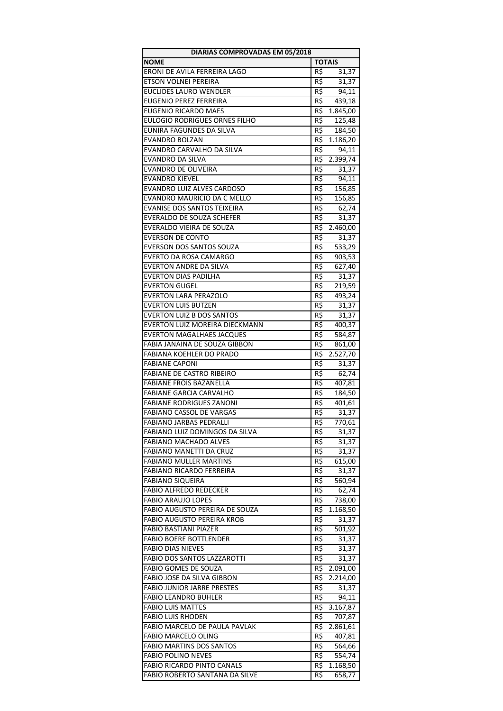| DIÁRIAS COMPROVADAS EM 05/2018     |                           |
|------------------------------------|---------------------------|
| <b>NOME</b>                        | <b>TOTAIS</b>             |
| ERONI DE AVILA FERREIRA LAGO       | 31,37<br>R\$              |
| ETSON VOLNEI PEREIRA               | R\$<br>31,37              |
| <b>EUCLIDES LAURO WENDLER</b>      | $R\zeta$<br>94,11         |
| <b>EUGENIO PEREZ FERREIRA</b>      | R\$<br>439,18             |
| <b>EUGENIO RICARDO MAES</b>        | R\$<br>1.845,00           |
| EULOGIO RODRIGUES ORNES FILHO      | R\$<br>125,48             |
| EUNIRA FAGUNDES DA SILVA           | $R\overline{5}$<br>184,50 |
| <b>EVANDRO BOLZAN</b>              | R\$<br>1.186,20           |
|                                    |                           |
| EVANDRO CARVALHO DA SILVA          | $R\frac{2}{3}$<br>94,11   |
| <b>EVANDRO DA SILVA</b>            | R\$<br>2.399,74           |
| EVANDRO DE OLIVEIRA                | R\$<br>31,37              |
| <b>EVANDRO KIEVEL</b>              | R\$<br>94,11              |
| EVANDRO LUIZ ALVES CARDOSO         | R\$<br>156,85             |
| EVANDRO MAURICIO DA C MELLO        | R\$<br>156,85             |
| EVANISE DOS SANTOS TEIXEIRA        | R\$<br>62,74              |
| <b>EVERALDO DE SOUZA SCHEFER</b>   | R\$<br>31,37              |
| EVERALDO VIEIRA DE SOUZA           | R\$<br>2.460,00           |
| <b>EVERSON DE CONTO</b>            | R\$<br>31,37              |
| EVERSON DOS SANTOS SOUZA           | $R\frac{2}{3}$<br>533,29  |
| EVERTO DA ROSA CAMARGO             | R5<br>903,53              |
| <b>EVERTON ANDRE DA SILVA</b>      | R\$<br>627,40             |
| <b>EVERTON DIAS PADILHA</b>        | $R\frac{2}{3}$<br>31,37   |
| <b>EVERTON GUGEL</b>               | R\$<br>219,59             |
| <b>EVERTON LARA PERAZOLO</b>       | R\$<br>493,24             |
| <b>EVERTON LUIS BUTZEN</b>         | R\$<br>31,37              |
| <b>EVERTON LUIZ B DOS SANTOS</b>   | R\$<br>31,37              |
| EVERTON LUIZ MOREIRA DIECKMANN     |                           |
|                                    | R\$<br>400,37             |
| <b>EVERTON MAGALHAES JACQUES</b>   | R\$<br>584,87             |
| FABIA JANAINA DE SOUZA GIBBON      | $R\zeta$<br>861,00        |
| <b>FABIANA KOEHLER DO PRADO</b>    | R\$<br>2.527,70           |
| <b>FABIANE CAPONI</b>              | R\$<br>31,37              |
| <b>FABIANE DE CASTRO RIBEIRO</b>   | $R\overline{S}$<br>62,74  |
| <b>FABIANE FROIS BAZANELLA</b>     | R\$<br>407,81             |
| <b>FABIANE GARCIA CARVALHO</b>     | R\$<br>184,50             |
| <b>FABIANE RODRIGUES ZANONI</b>    | R\$<br>401,61             |
| <b>FABIANO CASSOL DE VARGAS</b>    | R\$<br>31,37              |
| <b>FABIANO JARBAS PEDRALLI</b>     | R\$<br>770,61             |
| FABIANO LUIZ DOMINGOS DA SILVA     | 31,37<br>R\$              |
| <b>FABIANO MACHADO ALVES</b>       | $R\overline{S}$<br>31,37  |
| FABIANO MANETTI DA CRUZ            | R\$<br>31,37              |
| <b>FABIANO MULLER MARTINS</b>      | R\$<br>615,00             |
| <b>FABIANO RICARDO FERREIRA</b>    | R\$<br>31,37              |
| <b>FABIANO SIQUEIRA</b>            | R\$<br>560,94             |
| <b>FABIO ALFREDO REDECKER</b>      | R\$<br>62,74              |
| <b>FABIO ARAUJO LOPES</b>          | R5<br>738,00              |
| FABIO AUGUSTO PEREIRA DE SOUZA     | R\$<br>1.168,50           |
| <b>FABIO AUGUSTO PEREIRA KROB</b>  | R\$<br>31,37              |
| <b>FABIO BASTIANI PIAZER</b>       |                           |
|                                    | R\$<br>501,92             |
| <b>FABIO BOERE BOTTLENDER</b>      | R\$<br>31,37              |
| <b>FABIO DIAS NIEVES</b>           | R\$<br>31,37              |
| <b>FABIO DOS SANTOS LAZZAROTTI</b> | R\$<br>31,37              |
| <b>FABIO GOMES DE SOUZA</b>        | R\$<br>2.091,00           |
| FABIO JOSE DA SILVA GIBBON         | R\$<br>2.214,00           |
| <b>FABIO JUNIOR JARRE PRESTES</b>  | R\$<br>31,37              |
| <b>FABIO LEANDRO BUHLER</b>        | R\$<br>94,11              |
| <b>FABIO LUIS MATTES</b>           | R\$<br>3.167,87           |
| <b>FABIO LUIS RHODEN</b>           | R\$<br>707,87             |
| FABIO MARCELO DE PAULA PAVLAK      | R5<br>2.861,61            |
| <b>FABIO MARCELO OLING</b>         | R\$<br>407,81             |
| <b>FABIO MARTINS DOS SANTOS</b>    | $R\frac{2}{3}$<br>564,66  |
| <b>FABIO POLINO NEVES</b>          | R\$<br>554,74             |
| <b>FABIO RICARDO PINTO CANALS</b>  | R\$<br>1.168,50           |
| FABIO ROBERTO SANTANA DA SILVE     | R\$<br>658,77             |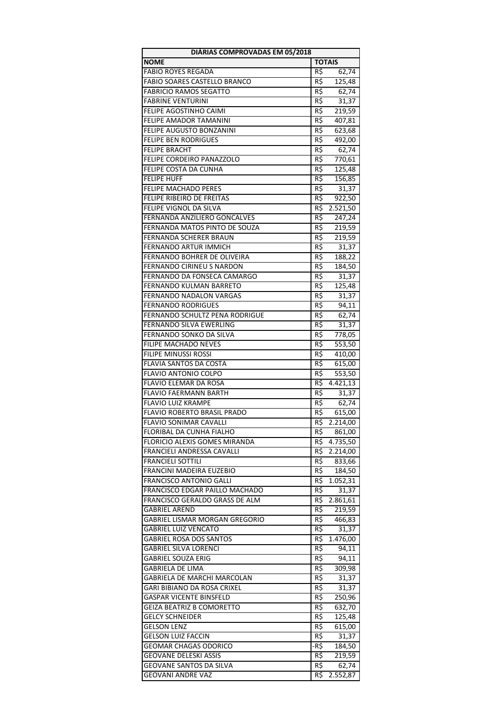| DIÁRIAS COMPROVADAS EM 05/2018   |                                                        |
|----------------------------------|--------------------------------------------------------|
| <b>NOME</b>                      | <b>TOTAIS</b>                                          |
| <b>FABIO ROYES REGADA</b>        | R\$<br>62,74                                           |
| FABIO SOARES CASTELLO BRANCO     | R\$<br>125,48                                          |
| <b>FABRICIO RAMOS SEGATTO</b>    | $R\zeta$<br>62,74                                      |
| <b>FABRINE VENTURINI</b>         | R\$<br>31,37                                           |
| FELIPE AGOSTINHO CAIMI           | $R\overline{S}$<br>219,59                              |
| FELIPE AMADOR TAMANINI           | R\$<br>407,81                                          |
| FELIPE AUGUSTO BONZANINI         | $R\overline{S}$<br>623,68                              |
| <b>FELIPE BEN RODRIGUES</b>      | R\$<br>492,00                                          |
| <b>FELIPE BRACHT</b>             | $R\frac{2}{3}$<br>62,74                                |
| FELIPE CORDEIRO PANAZZOLO        | R\$<br>770,61                                          |
| FELIPE COSTA DA CUNHA            | R\$<br>125,48                                          |
| <b>FELIPE HUFF</b>               | R\$<br>156,85                                          |
| FELIPE MACHADO PERES             | $R\zeta$<br>31,37                                      |
| FELIPE RIBEIRO DE FREITAS        | $\overline{\mathsf{R}}\overline{\mathsf{S}}$<br>922,50 |
| FELIPE VIGNOL DA SILVA           | R\$<br>2.521,50                                        |
| FERNANDA ANZILIERO GONCALVES     | R\$<br>247,24                                          |
| FERNANDA MATOS PINTO DE SOUZA    | R\$<br>219,59                                          |
| FERNANDA SCHERER BRAUN           | R\$<br>219,59                                          |
| FERNANDO ARTUR IMMICH            | $R\zeta$<br>31,37                                      |
| FERNANDO BOHRER DE OLIVEIRA      | $R\frac{2}{3}$<br>188,22                               |
| FERNANDO CIRINEU S NARDON        | R\$<br>184,50                                          |
| FERNANDO DA FONSECA CAMARGO      | $R\zeta$<br>31,37                                      |
| FERNANDO KULMAN BARRETO          | R\$<br>125,48                                          |
| <b>FERNANDO NADALON VARGAS</b>   | R\$<br>31,37                                           |
| <b>FERNANDO RODRIGUES</b>        | $R\zeta$<br>94,11                                      |
| FERNANDO SCHULTZ PENA RODRIGUE   | $R\zeta$<br>62,74                                      |
| FERNANDO SILVA EWERLING          | R\$<br>31,37                                           |
| FERNANDO SONKO DA SILVA          | $R\zeta$<br>778,05                                     |
| FILIPE MACHADO NEVES             | $R\zeta$<br>$\overline{553}$ ,50                       |
| FILIPE MINUSSI ROSSI             | R\$<br>410,00                                          |
| FLAVIA SANTOS DA COSTA           | R\$<br>615,00                                          |
| FLAVIO ANTONIO COLPO             | $R\overline{S}$<br>$\overline{553,50}$                 |
| <b>FLAVIO ELEMAR DA ROSA</b>     | R\$<br>4.421,13                                        |
| <b>FLAVIO FAERMANN BARTH</b>     | R\$<br>31,37                                           |
| <b>FLAVIO LUIZ KRAMPE</b>        | R\$<br>62,74                                           |
| FLAVIO ROBERTO BRASIL PRADO      | R\$<br>615,00                                          |
| FLAVIO SONIMAR CAVALLI           | R\$<br>2.214,00                                        |
| FLORIBAL DA CUNHA FIALHO         | R\$<br>861,00                                          |
| FLORICIO ALEXIS GOMES MIRANDA    | $R\overline{S}$<br>4.735,50                            |
| FRANCIELI ANDRESSA CAVALLI       | R\$<br>2.214,00                                        |
| <b>FRANCIELI SOTTILI</b>         | R\$<br>833,66                                          |
| FRANCINI MADEIRA EUZEBIO         | R\$                                                    |
| <b>FRANCISCO ANTONIO GALLI</b>   | 184,50<br>R\$<br>1.052,31                              |
| FRANCISCO EDGAR PAILLO MACHADO   | R\$                                                    |
| FRANCISCO GERALDO GRASS DE ALM   | 31,37<br>R\$<br>2.861,61                               |
| GABRIEL AREND                    | R\$<br>219,59                                          |
|                                  |                                                        |
| GABRIEL LISMAR MORGAN GREGORIO   | R\$<br>466,83                                          |
| <b>GABRIEL LUIZ VENCATO</b>      | R\$<br>31,37                                           |
| GABRIEL ROSA DOS SANTOS          | R\$<br>1.476,00                                        |
| <b>GABRIEL SILVA LORENCI</b>     | R\$<br>94,11                                           |
| GABRIEL SOUZA ERIG               | R\$<br>94,11                                           |
| <b>GABRIELA DE LIMA</b>          | R\$<br>309,98                                          |
| GABRIELA DE MARCHI MARCOLAN      | R\$<br>31,37                                           |
| GARI BIBIANO DA ROSA CRIXEL      | R\$<br>31,37                                           |
| GASPAR VICENTE BINSFELD          | R\$<br>250,96                                          |
| <b>GEIZA BEATRIZ B COMORETTO</b> | R\$<br>632,70                                          |
| <b>GELCY SCHNEIDER</b>           | R\$<br>125,48                                          |
| <b>GELSON LENZ</b>               | R\$<br>615,00                                          |
| <b>GELSON LUIZ FACCIN</b>        | R\$<br>31,37                                           |
| <b>GEOMAR CHAGAS ODORICO</b>     | -R\$<br>184,50                                         |
| <b>GEOVANE DELESKI ASSIS</b>     | R\$<br>219,59                                          |
| GEOVANE SANTOS DA SILVA          | R\$<br>62,74                                           |
| <b>GEOVANI ANDRE VAZ</b>         | R\$<br>2.552,87                                        |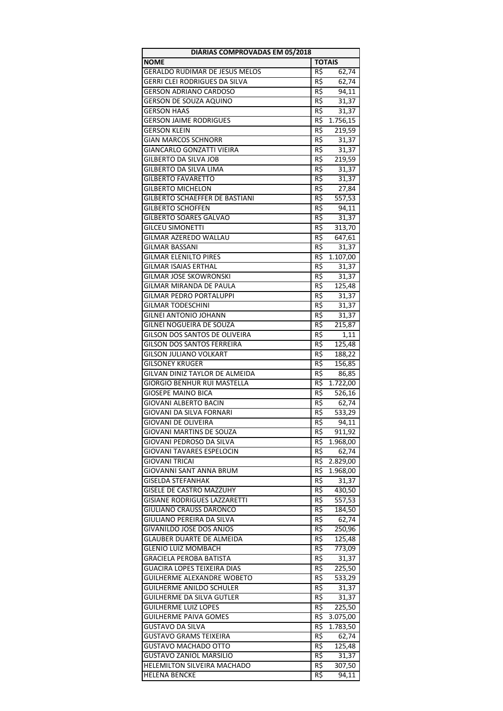| DIÁRIAS COMPROVADAS EM 05/2018        |                             |
|---------------------------------------|-----------------------------|
| <b>NOME</b>                           | <b>TOTAIS</b>               |
| <b>GERALDO RUDIMAR DE JESUS MELOS</b> | R\$<br>62,74                |
| GERRI CLEI RODRIGUES DA SILVA         | $R\zeta$<br>62,74           |
| <b>GERSON ADRIANO CARDOSO</b>         | $R\zeta$<br>94,11           |
| GERSON DE SOUZA AQUINO                | R\$<br>31,37                |
| <b>GERSON HAAS</b>                    | $R\zeta$<br>31,37           |
| <b>GERSON JAIME RODRIGUES</b>         | R\$<br>1.756,15             |
| <b>GERSON KLEIN</b>                   | R\$<br>219,59               |
| <b>GIAN MARCOS SCHNORR</b>            | $R\zeta$                    |
|                                       | 31,37                       |
| GIANCARLO GONZATTI VIEIRA             | $R\zeta$<br>31,37           |
| <b>GILBERTO DA SILVA JOB</b>          | $R\frac{2}{3}$<br>219,59    |
| <b>GILBERTO DA SILVA LIMA</b>         | R\$<br>31,37                |
| <b>GILBERTO FAVARETTO</b>             | R\$<br>31,37                |
| <b>GILBERTO MICHELON</b>              | $R\overline{S}$<br>27,84    |
| GILBERTO SCHAEFFER DE BASTIANI        | R\$<br>557,53               |
| <b>GILBERTO SCHOFFEN</b>              | R\$<br>94,11                |
| GILBERTO SOARES GALVAO                | R\$<br>31,37                |
| <b>GILCEU SIMONETTI</b>               | R\$<br>313,70               |
| GILMAR AZEREDO WALLAU                 | $R\zeta$<br>647,61          |
| GILMAR BASSANI                        | RS<br>31,37                 |
| <b>GILMAR ELENILTO PIRES</b>          | $R\overline{5}$<br>1.107,00 |
| <b>GILMAR ISAIAS ERTHAL</b>           | R\$<br>31,37                |
| <b>GILMAR JOSE SKOWRONSKI</b>         | $R\frac{2}{3}$<br>31,37     |
| GILMAR MIRANDA DE PAULA               | $R\zeta$<br>125,48          |
| GILMAR PEDRO PORTALUPPI               | $R\frac{2}{3}$<br>31,37     |
| <b>GILMAR TODESCHINI</b>              | $R\zeta$<br>31,37           |
| <b>GILNEI ANTONIO JOHANN</b>          | $R\zeta$<br>31,37           |
| GILNEI NOGUEIRA DE SOUZA              | R\$<br>215,87               |
| GILSON DOS SANTOS DE OLIVEIRA         | $R\zeta$                    |
|                                       | 1,11                        |
| GILSON DOS SANTOS FERREIRA            | $R\zeta$<br>125,48          |
| <b>GILSON JULIANO VOLKART</b>         | R\$<br>188,22               |
| <b>GILSONEY KRUGER</b>                | R\$<br>156,85               |
| GILVAN DINIZ TAYLOR DE ALMEIDA        | $R\overline{5}$<br>86,85    |
| <b>GIORGIO BENHUR RUI MASTELLA</b>    | $R\overline{S}$<br>1.722,00 |
| <b>GIOSEPE MAINO BICA</b>             | R\$<br>526,16               |
| <b>GIOVANI ALBERTO BACIN</b>          | R\$<br>62,74                |
| GIOVANI DA SILVA FORNARI              | R\$<br>533,29               |
| <b>GIOVANI DE OLIVEIRA</b>            | $R\zeta$<br>94,11           |
| GIOVANI MARTINS DE SOUZA              | R\$<br>911,92               |
| GIOVANI PEDROSO DA SILVA              | R\$<br>1.968,00             |
| <b>GIOVANI TAVARES ESPELOCIN</b>      | R\$<br>62,74                |
| <b>GIOVANI TRICAI</b>                 | R\$<br>2.829,00             |
| <b>GIOVANNI SANT ANNA BRUM</b>        | R\$<br>1.968,00             |
| <b>GISELDA STEFANHAK</b>              | R\$<br>31,37                |
| <b>GISELE DE CASTRO MAZZUHY</b>       | R\$<br>430,50               |
| <b>GISIANE RODRIGUES LAZZARETTI</b>   | R\$<br>557,53               |
| GIULIANO CRAUSS DARONCO               | R\$<br>184,50               |
| GIULIANO PEREIRA DA SILVA             | $R\zeta$<br>62,74           |
| GIVANILDO JOSE DOS ANJOS              | R\$<br>250,96               |
| GLAUBER DUARTE DE ALMEIDA             | R\$<br>125,48               |
| <b>GLENIO LUIZ MOMBACH</b>            | R\$<br>$\overline{773,09}$  |
| <b>GRACIELA PEROBA BATISTA</b>        | R\$<br>31,37                |
| <b>GUACIRA LOPES TEIXEIRA DIAS</b>    | R\$                         |
| <b>GUILHERME ALEXANDRE WOBETO</b>     | 225,50                      |
|                                       | R\$<br>533,29               |
| <b>GUILHERME ANILDO SCHULER</b>       | R\$<br>31,37                |
| GUILHERME DA SILVA GUTLER             | R\$<br>31,37                |
| <b>GUILHERME LUIZ LOPES</b>           | R\$<br>225,50               |
| <b>GUILHERME PAIVA GOMES</b>          | R\$<br>3.075,00             |
| GUSTAVO DA SILVA                      | $R\overline{S}$<br>1.783,50 |
| <b>GUSTAVO GRAMS TEIXEIRA</b>         | R\$<br>62,74                |
| <b>GUSTAVO MACHADO OTTO</b>           | $R\zeta$<br>125,48          |
| <b>GUSTAVO ZANIOL MARSILIO</b>        | R\$<br>31,37                |
| <b>HELEMILTON SILVEIRA MACHADO</b>    | R\$<br>307,50               |
| <b>HELENA BENCKE</b>                  | R\$<br>94,11                |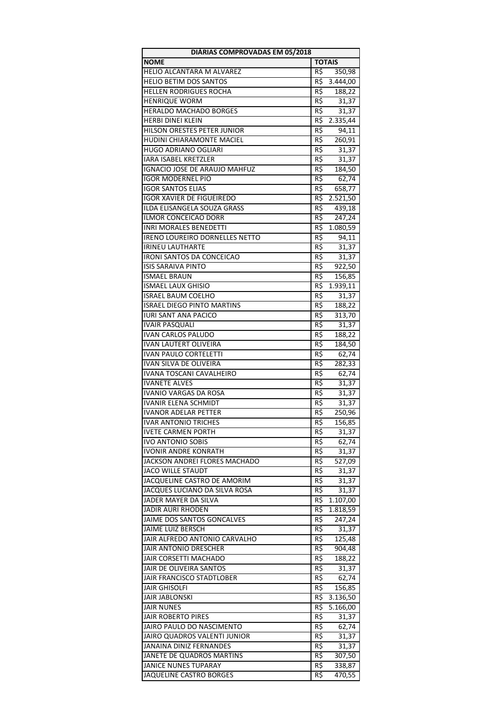|                                       | DIÁRIAS COMPROVADAS EM 05/2018 |  |  |
|---------------------------------------|--------------------------------|--|--|
| <b>NOME</b>                           | <b>TOTAIS</b>                  |  |  |
| <b>HELIO ALCANTARA M ALVAREZ</b>      | R\$<br>350,98                  |  |  |
| <b>HELIO BETIM DOS SANTOS</b>         | R\$<br>3.444,00                |  |  |
| <b>HELLEN RODRIGUES ROCHA</b>         | $R\zeta$<br>188,22             |  |  |
| <b>HENRIQUE WORM</b>                  | R\$<br>31,37                   |  |  |
| <b>HERALDO MACHADO BORGES</b>         | $R\zeta$<br>31,37              |  |  |
| <b>HERBI DINEI KLEIN</b>              | R\$<br>2.335,44                |  |  |
| <b>HILSON ORESTES PETER JUNIOR</b>    | R\$<br>94,11                   |  |  |
| HUDINI CHIARAMONTE MACIEL             | $R\zeta$<br>260,91             |  |  |
| HUGO ADRIANO OGLIARI                  | R\$<br>31,37                   |  |  |
| <b>IARA ISABEL KRETZLER</b>           | R\$<br>31,37                   |  |  |
|                                       | R\$                            |  |  |
| IGNACIO JOSE DE ARAUJO MAHFUZ         | 184,50                         |  |  |
| <b>IGOR MODERNEL PIO</b>              | R\$<br>62,74                   |  |  |
| <b>IGOR SANTOS ELIAS</b>              | R5<br>658,77                   |  |  |
| <b>IGOR XAVIER DE FIGUEIREDO</b>      | R\$<br>2.521,50                |  |  |
| ILDA ELISANGELA SOUZA GRASS           | R\$<br>439,18                  |  |  |
| <b>ILMOR CONCEICAO DORR</b>           | R\$<br>247,24                  |  |  |
| <b>INRI MORALES BENEDETTI</b>         | R\$<br>1.080,59                |  |  |
| <b>IRENO LOUREIRO DORNELLES NETTO</b> | R\$<br>94,11                   |  |  |
| <b>IRINEU LAUTHARTE</b>               | $R\frac{1}{2}$<br>31,37        |  |  |
| <b>IRONI SANTOS DA CONCEICAO</b>      | $R\frac{1}{2}$<br>31,37        |  |  |
| <b>ISIS SARAIVA PINTO</b>             | $R\frac{1}{2}$<br>922,50       |  |  |
| <b>ISMAEL BRAUN</b>                   | $R\frac{2}{3}$<br>156,85       |  |  |
| <b>ISMAEL LAUX GHISIO</b>             | R\$<br>1.939,11                |  |  |
| <b>ISRAEL BAUM COELHO</b>             | $R\zeta$<br>31,37              |  |  |
| <b>ISRAEL DIEGO PINTO MARTINS</b>     | $R\zeta$<br>188,22             |  |  |
| <b>IURI SANT ANA PACICO</b>           | R\$<br>313,70                  |  |  |
| <b>IVAIR PASQUALI</b>                 | R\$<br>31,37                   |  |  |
| <b>IVAN CARLOS PALUDO</b>             | $R\zeta$<br>188,22             |  |  |
| <b>IVAN LAUTERT OLIVEIRA</b>          | $R\zeta$                       |  |  |
|                                       | 184,50                         |  |  |
| <b>IVAN PAULO CORTELETTI</b>          | R\$<br>62,74                   |  |  |
| <b>IVAN SILVA DE OLIVEIRA</b>         | R\$<br>282,33                  |  |  |
| <b>IVANA TOSCANI CAVALHEIRO</b>       | $R\overline{S}$<br>62,74       |  |  |
| <b>IVANETE ALVES</b>                  | R\$<br>31,37                   |  |  |
| <b>IVANIO VARGAS DA ROSA</b>          | $R\frac{2}{3}$<br>31,37        |  |  |
| <b>IVANIR ELENA SCHMIDT</b>           | R\$<br>31,37                   |  |  |
| <b>IVANOR ADELAR PETTER</b>           | R\$<br>250,96                  |  |  |
| <b>IVAR ANTONIO TRICHES</b>           | R\$<br>156,85                  |  |  |
| <b>IVETE CARMEN PORTH</b>             | R\$<br>31,37                   |  |  |
| <b>IVO ANTONIO SOBIS</b>              | R\$<br>62,74                   |  |  |
| <b>IVONIR ANDRE KONRATH</b>           | R\$<br>31,37                   |  |  |
| JACKSON ANDREI FLORES MACHADO         | R\$<br>527,09                  |  |  |
| <b>JACO WILLE STAUDT</b>              | R\$<br>31,37                   |  |  |
| JACQUELINE CASTRO DE AMORIM           | R\$<br>31,37                   |  |  |
| JACQUES LUCIANO DA SILVA ROSA         | R\$<br>31,37                   |  |  |
| JADER MAYER DA SILVA                  | R5<br>1.107,00                 |  |  |
| <b>JADIR AURI RHODEN</b>              | R\$<br>1.818,59                |  |  |
| JAIME DOS SANTOS GONCALVES            | $R\zeta$<br>247,24             |  |  |
| JAIME LUIZ BERSCH                     | R\$<br>31,37                   |  |  |
| JAIR ALFREDO ANTONIO CARVALHO         | R\$<br>125,48                  |  |  |
| JAIR ANTONIO DRESCHER                 | R\$<br>904,48                  |  |  |
| <b>JAIR CORSETTI MACHADO</b>          |                                |  |  |
|                                       | R\$<br>188,22                  |  |  |
| JAIR DE OLIVEIRA SANTOS               | R\$<br>31,37                   |  |  |
| JAIR FRANCISCO STADTLOBER             | R\$<br>62,74                   |  |  |
| <b>JAIR GHISOLFI</b>                  | R\$<br>156,85                  |  |  |
| JAIR JABLONSKI                        | R\$<br>3.136,50                |  |  |
| <b>JAIR NUNES</b>                     | R\$<br>5.166,00                |  |  |
| <b>JAIR ROBERTO PIRES</b>             | R\$<br>31,37                   |  |  |
| JAIRO PAULO DO NASCIMENTO             | R5<br>62,74                    |  |  |
| JAIRO QUADROS VALENTI JUNIOR          | R\$<br>31,37                   |  |  |
| JANAINA DINIZ FERNANDES               | $R\zeta$<br>31,37              |  |  |
| JANETE DE QUADROS MARTINS             | R\$<br>307,50                  |  |  |
| <b>JANICE NUNES TUPARAY</b>           | R\$<br>338,87                  |  |  |
| <b>JAQUELINE CASTRO BORGES</b>        | R\$<br>470,55                  |  |  |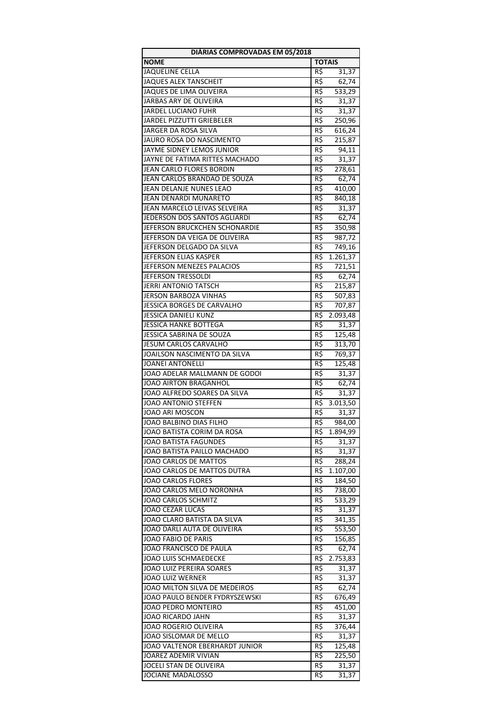| DIÁRIAS COMPROVADAS EM 05/2018<br><b>NOME</b> |            | <b>TOTAIS</b>    |
|-----------------------------------------------|------------|------------------|
| <b>JAQUELINE CELLA</b>                        | R\$        |                  |
| <b>JAQUES ALEX TANSCHEIT</b>                  | R\$        | 31,37<br>62,74   |
| JAQUES DE LIMA OLIVEIRA                       | R\$        | 533,29           |
| JARBAS ARY DE OLIVEIRA                        | R\$        | 31,37            |
| JARDEL LUCIANO FUHR                           | R\$        | 31,37            |
| JARDEL PIZZUTTI GRIEBELER                     |            |                  |
| JARGER DA ROSA SILVA                          | R\$<br>R\$ | 250,96<br>616,24 |
| JAURO ROSA DO NASCIMENTO                      | R\$        | 215,87           |
|                                               |            |                  |
| JAYME SIDNEY LEMOS JUNIOR                     | R\$        | 94,11            |
| JAYNE DE FATIMA RITTES MACHADO                | R\$        | 31,37            |
| JEAN CARLO FLORES BORDIN                      | R\$        | 278,61           |
| JEAN CARLOS BRANDAO DE SOUZA                  | R\$        | 62,74            |
| JEAN DELANJE NUNES LEAO                       | R\$        | 410,00           |
| JEAN DENARDI MUNARETO                         | R\$        | 840,18           |
| JEAN MARCELO LEIVAS SELVEIRA                  | R\$        | 31,37            |
| JEDERSON DOS SANTOS AGLIARDI                  | R\$        | 62,74            |
| JEFERSON BRUCKCHEN SCHONARDIE                 | R\$        | 350,98           |
| JEFERSON DA VEIGA DE OLIVEIRA                 | R\$        | 987,72           |
| JEFERSON DELGADO DA SILVA                     | R\$        | 749,16           |
| JEFERSON ELIAS KASPER                         | R\$        | 1.261,37         |
| JEFERSON MENEZES PALACIOS                     | R\$        | 721,51           |
| JEFERSON TRESSOLDI                            | $R\zeta$   | 62,74            |
| JERRI ANTONIO TATSCH                          | R\$        | 215,87           |
| JERSON BARBOZA VINHAS                         | $R\zeta$   | 507,83           |
| JESSICA BORGES DE CARVALHO                    | $R\zeta$   | 707,87           |
| JESSICA DANIELI KUNZ                          | $R\zeta$   | 2.093,48         |
| <b>JESSICA HANKE BOTTEGA</b>                  | R\$        | 31,37            |
| JESSICA SABRINA DE SOUZA                      | R\$        | 125,48           |
| JESUM CARLOS CARVALHO                         | $R\zeta$   | 313,70           |
| JOAILSON NASCIMENTO DA SILVA                  | R\$        | 769,37           |
| <b>JOANEI ANTONELLI</b>                       | R\$        | 125,48           |
| JOAO ADELAR MALLMANN DE GODOI                 | $R\zeta$   | 31,37            |
| JOAO AIRTON BRAGANHOL                         | R\$        | 62,74            |
| JOAO ALFREDO SOARES DA SILVA                  | R\$        | 31,37            |
| JOAO ANTONIO STEFFEN                          | R\$        | 3.013,50         |
| JOAO ARI MOSCON                               | R\$        | 31,37            |
| JOAO BALBINO DIAS FILHO                       | R\$        | 984,00           |
| JOAO BATISTA CORIM DA ROSA                    | R\$        | 1.894,99         |
| JOAO BATISTA FAGUNDES                         | R\$        | 31,37            |
| JOAO BATISTA PAILLO MACHADO                   | $R\zeta$   | 31,37            |
| JOAO CARLOS DE MATTOS                         | $R\zeta$   | 288,24           |
| JOAO CARLOS DE MATTOS DUTRA                   | R\$        | 1.107,00         |
| JOAO CARLOS FLORES                            | R\$        | 184,50           |
| JOAO CARLOS MELO NORONHA                      | R\$        | 738,00           |
| JOAO CARLOS SCHMITZ                           | $R\zeta$   | 533,29           |
| <b>JOAO CEZAR LUCAS</b>                       | R\$        | 31,37            |
| JOAO CLARO BATISTA DA SILVA                   | $R\zeta$   | 341,35           |
| JOAO DARLI AUTA DE OLIVEIRA                   | R\$        | 553,50           |
| JOAO FABIO DE PARIS                           | R\$        | 156,85           |
| JOAO FRANCISCO DE PAULA                       | R\$        | 62,74            |
| JOAO LUIS SCHMAEDECKE                         | R\$        | 2.753,83         |
| JOAO LUIZ PEREIRA SOARES                      | R\$        | 31,37            |
| <b>JOAO LUIZ WERNER</b>                       | R\$        | 31,37            |
| JOAO MILTON SILVA DE MEDEIROS                 | R\$        | 62,74            |
| JOAO PAULO BENDER FYDRYSZEWSKI                | R\$        | 676,49           |
| JOAO PEDRO MONTEIRO                           | $R\zeta$   | 451,00           |
| JOAO RICARDO JAHN                             | R\$        | 31,37            |
| JOAO ROGERIO OLIVEIRA                         | R\$        | 376,44           |
| JOAO SISLOMAR DE MELLO                        | R\$        | 31,37            |
| JOAO VALTENOR EBERHARDT JUNIOR                | $R\zeta$   | 125,48           |
| JOAREZ ADEMIR VIVIAN                          | R\$        | 225,50           |
| JOCELI STAN DE OLIVEIRA                       | R\$        | 31,37            |
|                                               |            |                  |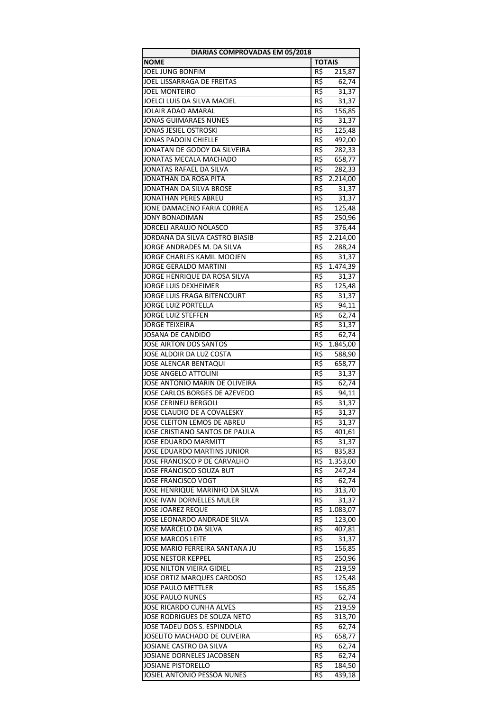| DIÁRIAS COMPROVADAS EM 05/2018                         |                              |
|--------------------------------------------------------|------------------------------|
| <b>NOME</b>                                            | <b>TOTAIS</b>                |
| JOEL JUNG BONFIM                                       | R\$<br>215,87                |
| JOEL LISSARRAGA DE FREITAS                             | R\$<br>62,74                 |
| <b>JOEL MONTEIRO</b>                                   | $R\zeta$<br>31,37            |
| JOELCI LUIS DA SILVA MACIEL                            | R\$<br>31,37                 |
| JOLAIR ADAO AMARAL                                     | R\$<br>156,85                |
| <b>JONAS GUIMARAES NUNES</b>                           | $R\overline{S}$<br>31,37     |
| <b>JONAS JESIEL OSTROSKI</b>                           | $R\zeta$<br>125,48           |
| <b>JONAS PADOIN CHIELLE</b>                            | R\$<br>492,00                |
| JONATAN DE GODOY DA SILVEIRA                           | R\$<br>282,33                |
| JONATAS MECALA MACHADO                                 | R\$<br>658,77                |
| JONATAS RAFAEL DA SILVA                                | R\$<br>$\overline{282}$ , 33 |
| <b>JONATHAN DA ROSA PITA</b>                           | R\$<br>2.214,00              |
| JONATHAN DA SILVA BROSE                                | R\$<br>31,37                 |
| <b>JONATHAN PERES ABREU</b>                            | R\$<br>31,37                 |
| JONE DAMACENO FARIA CORREA                             | $R\frac{2}{3}$<br>125,48     |
| <b>JONY BONADIMAN</b>                                  | R\$<br>250,96                |
| JORCELI ARAUJO NOLASCO                                 | R\$<br>376,44                |
| JORDANA DA SILVA CASTRO BIASIB                         | R\$<br>2.214,00              |
| JORGE ANDRADES M. DA SILVA                             | R\$<br>288,24                |
| <b>JORGE CHARLES KAMIL MOOJEN</b>                      | R\$<br>31,37                 |
| <b>JORGE GERALDO MARTINI</b>                           | R\$<br>1.474,39              |
| JORGE HENRIQUE DA ROSA SILVA                           | R\$<br>31,37                 |
| <b>JORGE LUIS DEXHEIMER</b>                            | R\$<br>125,48                |
| JORGE LUIS FRAGA BITENCOURT                            | R\$<br>31,37                 |
| <b>JORGE LUIZ PORTELLA</b>                             | $R\overline{S}$<br>94,11     |
| <b>JORGE LUIZ STEFFEN</b>                              | R\$<br>62,74                 |
| <b>JORGE TEIXEIRA</b>                                  | R\$<br>31,37                 |
| JOSANA DE CANDIDO                                      | $R\zeta$<br>62,74            |
| JOSE AIRTON DOS SANTOS                                 | R\$<br>1.845,00              |
| JOSE ALDOIR DA LUZ COSTA                               | R\$<br>588,90                |
| <b>JOSE ALENCAR BENTAQUI</b>                           | R\$<br>658,77                |
| <b>JOSE ANGELO ATTOLINI</b>                            | R\$<br>31,37                 |
| JOSE ANTONIO MARIN DE OLIVEIRA                         | $R\frac{2}{3}$<br>62,74      |
| JOSE CARLOS BORGES DE AZEVEDO                          | $R\frac{2}{3}$<br>94,11      |
| <b>JOSE CERINEU BERGOLI</b>                            | R\$<br>31,37                 |
| JOSE CLAUDIO DE A COVALESKY                            | R\$<br>31,37                 |
| JOSE CLEITON LEMOS DE ABREU                            | $R\zeta$<br>31,37            |
| JOSE CRISTIANO SANTOS DE PAULA                         | R\$<br>401,61                |
| <b>JOSE EDUARDO MARMITT</b>                            | R\$<br>31,37                 |
| <b>JOSE EDUARDO MARTINS JUNIOR</b>                     |                              |
|                                                        | R\$<br>835,83                |
| JOSE FRANCISCO P DE CARVALHO                           | R\$<br>1.353,00<br>R\$       |
| JOSE FRANCISCO SOUZA BUT<br><b>JOSE FRANCISCO VOGT</b> | 247,24<br>R\$                |
|                                                        | 62,74                        |
| JOSE HENRIQUE MARINHO DA SILVA                         | R\$<br>313,70                |
| JOSE IVAN DORNELLES MULER                              | R5<br>31,37                  |
| <b>JOSE JOAREZ REQUE</b>                               | R\$<br>1.083,07              |
| JOSE LEONARDO ANDRADE SILVA                            | R\$<br>123,00                |
| JOSE MARCELO DA SILVA                                  | R\$<br>407,81                |
| <b>JOSE MARCOS LEITE</b>                               | R\$<br>31,37                 |
| JOSE MARIO FERREIRA SANTANA JU                         | $R\zeta$<br>156,85           |
| <b>JOSE NESTOR KEPPEL</b>                              | R\$<br>250,96                |
| JOSE NILTON VIEIRA GIDIEL                              | R\$<br>219,59                |
| JOSE ORTIZ MARQUES CARDOSO                             | R\$<br>125,48                |
| JOSE PAULO METTLER                                     | R\$<br>156,85                |
| <b>JOSE PAULO NUNES</b>                                | R\$<br>62,74                 |
| <b>JOSE RICARDO CUNHA ALVES</b>                        | R\$<br>219,59                |
| JOSE RODRIGUES DE SOUZA NETO                           | R\$<br>313,70                |
| <b>JOSE TADEU DOS S. ESPINDOLA</b>                     | R\$<br>62,74                 |
| JOSELITO MACHADO DE OLIVEIRA                           | R\$<br>658,77                |
| JOSIANE CASTRO DA SILVA                                | R\$<br>62,74                 |
| JOSIANE DORNELES JACOBSEN                              | R\$<br>62,74                 |
| <b>JOSIANE PISTORELLO</b>                              | R\$<br>184,50                |
| JOSIEL ANTONIO PESSOA NUNES                            | R\$<br>439,18                |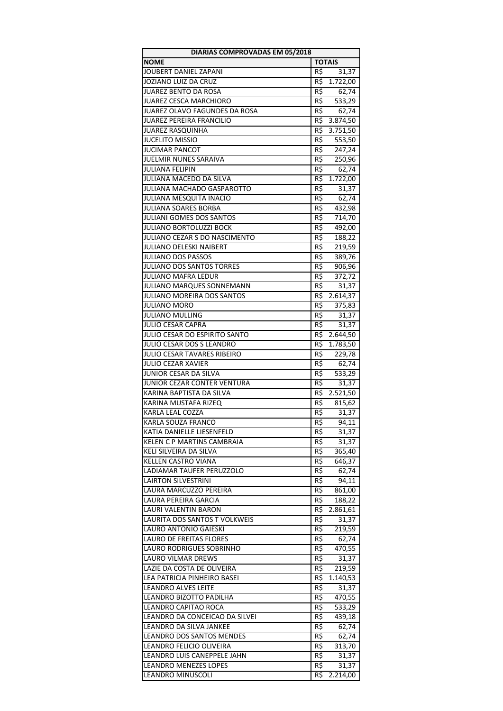| DIÁRIAS COMPROVADAS EM 05/2018   |                                                       |
|----------------------------------|-------------------------------------------------------|
| <b>NOME</b>                      | <b>TOTAIS</b>                                         |
| JOUBERT DANIEL ZAPANI            | R\$<br>31,37                                          |
| <b>JOZIANO LUIZ DA CRUZ</b>      | R\$<br>1.722,00                                       |
| <b>JUAREZ BENTO DA ROSA</b>      | $R\zeta$<br>62,74                                     |
| JUAREZ CESCA MARCHIORO           | 533,29<br>R\$                                         |
| JUAREZ OLAVO FAGUNDES DA ROSA    | R\$<br>62,74                                          |
| <b>JUAREZ PEREIRA FRANCILIO</b>  | R\$<br>3.874,50                                       |
| <b>JUAREZ RASQUINHA</b>          | $R\zeta$<br>3.751,50                                  |
| <b>JUCELITO MISSIO</b>           | $R\zeta$<br>553,50                                    |
| <b>JUCIMAR PANCOT</b>            | $R\zeta$<br>247,24                                    |
| JUELMIR NUNES SARAIVA            | $R\overline{5}$<br>250,96                             |
| JULIANA FELIPIN                  | R\$<br>62,74                                          |
| JULIANA MACEDO DA SILVA          | R\$<br>1.722,00                                       |
| JULIANA MACHADO GASPAROTTO       | $\overline{\mathsf{R}}\overline{\mathsf{S}}$<br>31,37 |
| JULIANA MESQUITA INACIO          | R\$<br>62,74                                          |
| <b>JULIANA SOARES BORBA</b>      | R\$                                                   |
|                                  | 432,98                                                |
| <b>JULIANI GOMES DOS SANTOS</b>  | R\$<br>714,70                                         |
| <b>JULIANO BORTOLUZZI BOCK</b>   | $R\frac{2}{3}$<br>492,00                              |
| JULIANO CEZAR S DO NASCIMENTO    | R\$<br>188,22                                         |
| <b>JULIANO DELESKI NAIBERT</b>   | R\$<br>219,59                                         |
| <b>JULIANO DOS PASSOS</b>        | R\$<br>389,76                                         |
| <b>JULIANO DOS SANTOS TORRES</b> | $R\frac{1}{2}$<br>906,96                              |
| <b>JULIANO MAFRA LEDUR</b>       | $R\frac{1}{2}$<br>372,72                              |
| JULIANO MARQUES SONNEMANN        | R\$<br>31,37                                          |
| JULIANO MOREIRA DOS SANTOS       | R\$<br>2.614,37                                       |
| <b>JULIANO MORO</b>              | $R\frac{1}{2}$<br>375,83                              |
| <b>JULIANO MULLING</b>           | $\overline{\mathsf{R}}\zeta$<br>31,37                 |
| <b>JULIO CESAR CAPRA</b>         | R\$<br>31,37                                          |
| JULIO CESAR DO ESPIRITO SANTO    | $R\zeta$<br>2.644,50                                  |
| JULIO CESAR DOS S LEANDRO        | R\$<br>1.783,50                                       |
| JULIO CESAR TAVARES RIBEIRO      | $R\zeta$<br>229,78                                    |
| <b>JULIO CEZAR XAVIER</b>        | $R\frac{2}{3}$<br>62,74                               |
| JUNIOR CESAR DA SILVA            | $R\overline{S}$<br>533,29                             |
| JUNIOR CEZAR CONTER VENTURA      | R\$<br>31,37                                          |
| KARINA BAPTISTA DA SILVA         | $R\frac{2}{3}$<br>2.521,50                            |
| KARINA MUSTAFA RIZEQ             | R\$<br>815,62                                         |
| KARLA LEAL COZZA                 | $R\frac{2}{3}$<br>31,37                               |
| KARLA SOUZA FRANCO               | $R\zeta$<br>$\overline{9}4,11$                        |
| KATIA DANIELLE LIESENFELD        |                                                       |
| KELEN C P MARTINS CAMBRAIA       | 31,37<br>R\$<br>31,37                                 |
|                                  | R\$                                                   |
| KELI SILVEIRA DA SILVA           | R\$<br>365,40                                         |
| <b>KELLEN CASTRO VIANA</b>       | R\$<br>646,37                                         |
| LADIAMAR TAUFER PERUZZOLO        | R\$<br>62,74                                          |
| <b>LAIRTON SILVESTRINI</b>       | R\$<br>94,11                                          |
| LAURA MARCUZZO PEREIRA           | R5<br>861,00                                          |
| LAURA PEREIRA GARCIA             | R\$<br>188,22                                         |
| LAURI VALENTIN BARON             | R\$<br>2.861,61                                       |
| LAURITA DOS SANTOS T VOLKWEIS    | R\$<br>31,37                                          |
| <b>LAURO ANTONIO GAIESKI</b>     | R\$<br>219,59                                         |
| <b>LAURO DE FREITAS FLORES</b>   | R\$<br>62,74                                          |
| LAURO RODRIGUES SOBRINHO         | $R\zeta$<br>470,55                                    |
| LAURO VILMAR DREWS               | R\$<br>31,37                                          |
| LAZIE DA COSTA DE OLIVEIRA       | R\$<br>219,59                                         |
| LEA PATRICIA PINHEIRO BASEI      | R\$<br>1.140,53                                       |
| <b>LEANDRO ALVES LEITE</b>       | R\$<br>31,37                                          |
| LEANDRO BIZOTTO PADILHA          | $R\zeta$<br>470,55                                    |
| LEANDRO CAPITAO ROCA             | R\$<br>533,29                                         |
| LEANDRO DA CONCEICAO DA SILVEI   | R\$<br>439,18                                         |
| LEANDRO DA SILVA JANKEE          | R\$<br>62,74                                          |
| <b>LEANDRO DOS SANTOS MENDES</b> | R\$<br>62,74                                          |
|                                  |                                                       |
| LEANDRO FELICIO OLIVEIRA         | R\$<br>313,70                                         |
| LEANDRO LUIS CANEPPELE JAHN      | R\$<br>31,37                                          |
| <b>LEANDRO MENEZES LOPES</b>     | R\$<br>31,37                                          |
| LEANDRO MINUSCOLI                | R\$<br>2.214,00                                       |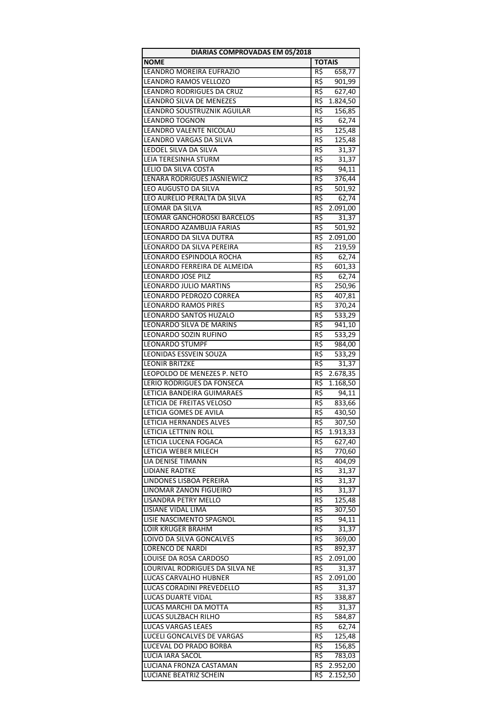| DIÁRIAS COMPROVADAS EM 05/2018 |                           |
|--------------------------------|---------------------------|
| <b>NOME</b>                    | <b>TOTAIS</b>             |
| LEANDRO MOREIRA EUFRAZIO       | R\$<br>658,77             |
| LEANDRO RAMOS VELLOZO          | R\$<br>901,99             |
| LEANDRO RODRIGUES DA CRUZ      | R\$<br>627,40             |
| LEANDRO SILVA DE MENEZES       | R\$<br>1.824,50           |
| LEANDRO SOUSTRUZNIK AGUILAR    | R\$<br>156,85             |
| <b>LEANDRO TOGNON</b>          | R\$<br>62,74              |
| LEANDRO VALENTE NICOLAU        | R5<br>125,48              |
| LEANDRO VARGAS DA SILVA        | R\$<br>125,48             |
| LEDOEL SILVA DA SILVA          | $R\frac{2}{3}$<br>31,37   |
| LEIA TERESINHA STURM           | R\$<br>31,37              |
| LELIO DA SILVA COSTA           | R\$<br>94,11              |
| LENARA RODRIGUES JASNIEWICZ    | R\$<br>376,44             |
| LEO AUGUSTO DA SILVA           | R\$<br>501,92             |
| LEO AURELIO PERALTA DA SILVA   | R\$<br>62,74              |
| LEOMAR DA SILVA                | $R\zeta$<br>2.091,00      |
| LEOMAR GANCHOROSKI BARCELOS    | R\$<br>31,37              |
| LEONARDO AZAMBUJA FARIAS       | R\$<br>501,92             |
| LEONARDO DA SILVA DUTRA        | R\$<br>2.091,00           |
| LEONARDO DA SILVA PEREIRA      | R\$<br>219,59             |
| LEONARDO ESPINDOLA ROCHA       | R\$<br>62,74              |
| LEONARDO FERREIRA DE ALMEIDA   | R\$<br>601,33             |
| LEONARDO JOSE PILZ             | $R\zeta$<br>62,74         |
| <b>LEONARDO JULIO MARTINS</b>  | R\$<br>250,96             |
| LEONARDO PEDROZO CORREA        | R\$<br>407,81             |
| <b>LEONARDO RAMOS PIRES</b>    | R\$<br>370,24             |
| LEONARDO SANTOS HUZALO         | R\$<br>533,29             |
| LEONARDO SILVA DE MARINS       | R\$<br>941,10             |
| LEONARDO SOZIN RUFINO          | R\$<br>533,29             |
| <b>LEONARDO STUMPF</b>         | $R\zeta$<br>984,00        |
| LEONIDAS ESSVEIN SOUZA         | R\$<br>533,29             |
| <b>LEONIR BRITZKE</b>          | R\$<br>31,37              |
| LEOPOLDO DE MENEZES P. NETO    | R\$<br>2.678,35           |
| LERIO RODRIGUES DA FONSECA     | R\$<br>1.168,50           |
| LETICIA BANDEIRA GUIMARAES     | R\$<br>94,11              |
| LETICIA DE FREITAS VELOSO      | R\$<br>833,66             |
| LETICIA GOMES DE AVILA         | R\$<br>430,50             |
| LETICIA HERNANDES ALVES        | $R\zeta$<br>307,50        |
| LETICIA LETTNIN ROLL           | R\$<br>1.913,33           |
| LETICIA LUCENA FOGACA          | R\$<br>627,40             |
| LETICIA WEBER MILECH           | R\$<br>770,60             |
| <b>LIA DENISE TIMANN</b>       | R\$<br>404,09             |
| <b>LIDIANE RADTKE</b>          | R\$<br>31,37              |
| LINDONES LISBOA PEREIRA        | R\$<br>31,37              |
| <b>LINOMAR ZANON FIGUEIRO</b>  | R\$<br>31,37              |
| <b>LISANDRA PETRY MELLO</b>    | $R\overline{5}$<br>125,48 |
| LISIANE VIDAL LIMA             | R\$<br>307,50             |
| LISIE NASCIMENTO SPAGNOL       | $R\zeta$<br>94,11         |
| <b>LOIR KRUGER BRAHM</b>       | R\$<br>31,37              |
| LOIVO DA SILVA GONCALVES       | R\$<br>369,00             |
| LORENCO DE NARDI               | R\$<br>892,37             |
| LOUISE DA ROSA CARDOSO         | R\$<br>2.091,00           |
| LOURIVAL RODRIGUES DA SILVA NE | R\$<br>31,37              |
| LUCAS CARVALHO HUBNER          | R\$<br>2.091,00           |
| LUCAS CORADINI PREVEDELLO      | R\$<br>31,37              |
| LUCAS DUARTE VIDAL             | R\$<br>338,87             |
| LUCAS MARCHI DA MOTTA          | R\$<br>31,37              |
| LUCAS SULZBACH RILHO           | R\$<br>584,87             |
| <b>LUCAS VARGAS LEAES</b>      | R\$<br>62,74              |
| LUCELI GONCALVES DE VARGAS     | R\$<br>125,48             |
| LUCEVAL DO PRADO BORBA         |                           |
| LUCIA IARA SACOL               | R\$<br>156,85<br>R\$      |
| LUCIANA FRONZA CASTAMAN        | 783,03<br>R\$             |
| LUCIANE BEATRIZ SCHEIN         | 2.952,00<br>R\$           |
|                                | 2.152,50                  |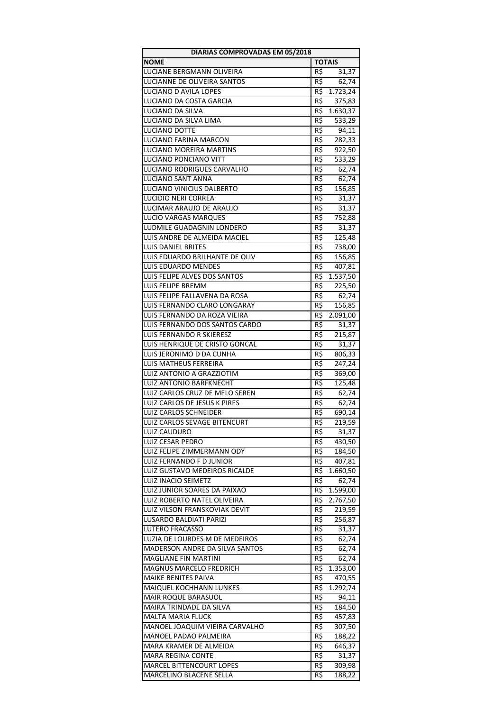| DIÁRIAS COMPROVADAS EM 05/2018       |                                       |
|--------------------------------------|---------------------------------------|
| <b>NOME</b>                          | <b>TOTAIS</b>                         |
| LUCIANE BERGMANN OLIVEIRA            | 31,37<br>R\$                          |
| LUCIANNE DE OLIVEIRA SANTOS          | $R\frac{2}{3}$<br>$\overline{6}$ 2,74 |
| LUCIANO D AVILA LOPES                | R\$<br>1.723,24                       |
| LUCIANO DA COSTA GARCIA              | R\$<br>375,83                         |
| LUCIANO DA SILVA                     | R\$<br>1.630,37                       |
| LUCIANO DA SILVA LIMA                | R\$<br>533,29                         |
| <b>LUCIANO DOTTE</b>                 | $R\overline{S}$<br>94,11              |
| LUCIANO FARINA MARCON                | R\$<br>282,33                         |
| LUCIANO MOREIRA MARTINS              | $R\frac{2}{3}$                        |
|                                      | 922,50                                |
| LUCIANO PONCIANO VITT                | R\$<br>533,29                         |
| LUCIANO RODRIGUES CARVALHO           | R\$<br>62,74                          |
| LUCIANO SANT ANNA                    | R\$<br>62,74                          |
| LUCIANO VINICIUS DALBERTO            | R\$<br>156,85                         |
| LUCIDIO NERI CORREA                  | R\$<br>31,37                          |
| LUCIMAR ARAUJO DE ARAUJO             | R\$<br>31,37                          |
| <b>LUCIO VARGAS MARQUES</b>          | R\$<br>752,88                         |
| LUDMILE GUADAGNIN LONDERO            | R\$<br>31,37                          |
| LUIS ANDRE DE ALMEIDA MACIEL         | R\$<br>125,48                         |
| LUIS DANIEL BRITES                   | $R\frac{2}{3}$<br>738,00              |
| LUIS EDUARDO BRILHANTE DE OLIV       | $R\overline{5}$<br>156,85             |
| LUIS EDUARDO MENDES                  | R\$<br>407,81                         |
| LUIS FELIPE ALVES DOS SANTOS         | $R\frac{2}{3}$<br>1.537,50            |
| LUIS FELIPE BREMM                    | R\$<br>225,50                         |
| LUIS FELIPE FALLAVENA DA ROSA        | $R\zeta$<br>62,74                     |
| LUIS FERNANDO CLARO LONGARAY         | $R\zeta$<br>156,85                    |
| LUIS FERNANDO DA ROZA VIEIRA         | R\$<br>2.091,00                       |
| LUIS FERNANDO DOS SANTOS CARDO       | R\$<br>31,37                          |
| LUIS FERNANDO R SKIERESZ             | $R\zeta$<br>215,87                    |
|                                      |                                       |
| LUIS HENRIQUE DE CRISTO GONCAL       | $R\zeta$<br>31,37                     |
| LUIS JERONIMO D DA CUNHA             | R\$<br>806,33                         |
| LUIS MATHEUS FERREIRA                | R\$<br>247,24                         |
| LUIZ ANTONIO A GRAZZIOTIM            | $R\overline{S}$<br>369,00             |
| <b>LUIZ ANTONIO BARFKNECHT</b>       | R\$<br>125,48                         |
| LUIZ CARLOS CRUZ DE MELO SEREN       | $R\frac{2}{3}$<br>62,74               |
| LUIZ CARLOS DE JESUS K PIRES         | R\$<br>62,74                          |
| LUIZ CARLOS SCHNEIDER                | R\$<br>690,14                         |
| LUIZ CARLOS SEVAGE BITENCURT         | $R\zeta$<br>219,59                    |
| LUIZ CAUDURO                         | R\$<br>31,37                          |
| LUIZ CESAR PEDRO                     | R\$<br>430,50                         |
| LUIZ FELIPE ZIMMERMANN ODY           | R\$<br>184,50                         |
| LUIZ FERNANDO F D JUNIOR             | R\$<br>407,81                         |
| <b>LUIZ GUSTAVO MEDEIROS RICALDE</b> | R\$<br>1.660,50                       |
| LUIZ INACIO SEIMETZ                  | R\$<br>62,74                          |
| LUIZ JUNIOR SOARES DA PAIXAO         | R\$<br>1.599,00                       |
| LUIZ ROBERTO NATEL OLIVEIRA          | $R\overline{5}$<br>2.767,50           |
| LUIZ VILSON FRANSKOVIAK DEVIT        | R\$<br>219,59                         |
| LUSARDO BALDIATI PARIZI              | $R\frac{1}{2}$<br>256,87              |
| <b>LUTERO FRACASSO</b>               | R\$<br>31,37                          |
| LUZIA DE LOURDES M DE MEDEIROS       | R\$<br>62,74                          |
| MADERSON ANDRE DA SILVA SANTOS       | R\$<br>62,74                          |
| <b>MAGLIANE FIN MARTINI</b>          | R\$                                   |
|                                      | 62,74<br>R\$                          |
| <b>MAGNUS MARCELO FREDRICH</b>       | 1.353,00                              |
| <b>MAIKE BENITES PAIVA</b>           | R\$<br>470,55                         |
| <b>MAIQUEL KOCHHANN LUNKES</b>       | R\$<br>1.292,74                       |
| <b>MAIR ROQUE BARASUOL</b>           | R\$<br>94,11                          |
| MAIRA TRINDADE DA SILVA              | R\$<br>184,50                         |
| <b>MALTA MARIA FLUCK</b>             | R\$<br>457,83                         |
| MANOEL JOAQUIM VIEIRA CARVALHO       | R\$<br>307,50                         |
| MANOEL PADAO PALMEIRA                | R\$<br>188,22                         |
| MARA KRAMER DE ALMEIDA               | $R\zeta$<br>646,37                    |
| <b>MARA REGINA CONTE</b>             | R\$<br>31,37                          |
| <b>MARCEL BITTENCOURT LOPES</b>      | R\$<br>309,98                         |
| MARCELINO BLACENE SELLA              | R\$<br>188,22                         |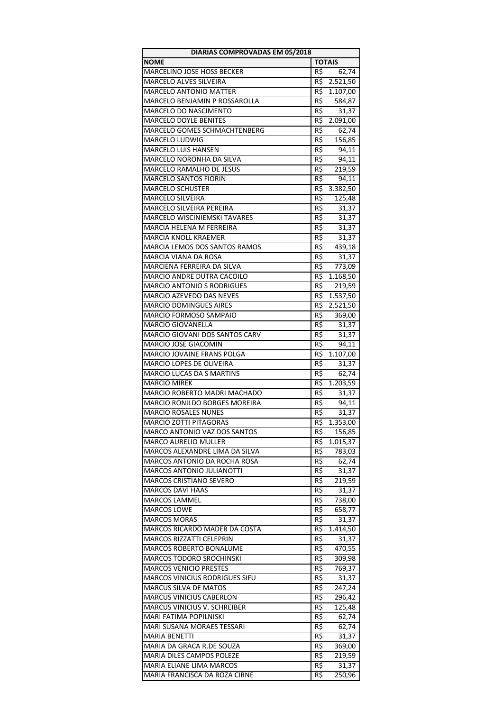| DIÁRIAS COMPROVADAS EM 05/2018        |                            |
|---------------------------------------|----------------------------|
| <b>NOME</b>                           | <b>TOTAIS</b>              |
| <b>MARCELINO JOSE HOSS BECKER</b>     | R\$<br>62,74               |
| MARCELO ALVES SILVEIRA                | 2.521,50<br>R\$            |
| <b>MARCELO ANTONIO MATTER</b>         | R\$<br>1.107,00            |
| MARCELO BENJAMIN P ROSSAROLLA         | R\$<br>584,87              |
| MARCELO DO NASCIMENTO                 | R\$<br>31,37               |
| <b>MARCELO DOYLE BENITES</b>          | R\$<br>2.091,00            |
| MARCELO GOMES SCHMACHTENBERG          | $R\zeta$<br>62,74          |
| MARCELO LUDWIG                        | $R\zeta$<br>156,85         |
| MARCELO LUIS HANSEN                   | R\$<br>94,11               |
|                                       |                            |
| MARCELO NORONHA DA SILVA              | $R\overline{S}$<br>94,11   |
| MARCELO RAMALHO DE JESUS              | R\$<br>219,59              |
| <b>MARCELO SANTOS FIORIN</b>          | $R\frac{1}{2}$<br>94,11    |
| <b>MARCELO SCHUSTER</b>               | $R\zeta$<br>3.382,50       |
| <b>MARCELO SILVEIRA</b>               | R\$<br>125,48              |
| MARCELO SILVEIRA PEREIRA              | R\$<br>31,37               |
| MARCELO WISCINIEMSKI TAVARES          | $R\frac{1}{2}$<br>31,37    |
| MARCIA HELENA M FERREIRA              | R\$<br>31,37               |
| MARCIA KNOLL KRAEMER                  | $R\overline{S}$<br>31,37   |
| MARCIA LEMOS DOS SANTOS RAMOS         | R\$ 439,18                 |
| MARCIA VIANA DA ROSA                  | R\$<br>31,37               |
| MARCIENA FERREIRA DA SILVA            | R\$<br>773,09              |
| MARCIO ANDRE DUTRA CACOILO            | R\$ 1.168,50               |
| <b>MARCIO ANTONIO S RODRIGUES</b>     | R\$<br>219,59              |
| MARCIO AZEVEDO DAS NEVES              | $R\frac{2}{3}$<br>1.537,50 |
| <b>MARCIO DOMINGUES AIRES</b>         | $R\zeta$<br>2.521,50       |
| MARCIO FORMOSO SAMPAIO                | $R\zeta$<br>369,00         |
| <b>MARCIO GIOVANELLA</b>              | R\$<br>31,37               |
| MARCIO GIOVANI DOS SANTOS CARV        | $R\frac{2}{3}$<br>31,37    |
| MARCIO JOSE GIACOMIN                  | $R\frac{2}{3}$             |
|                                       | 94,11                      |
| MARCIO JOVAINE FRANS POLGA            | 1.107,00<br>R\$            |
| <b>MARCIO LOPES DE OLIVEIRA</b>       | R\$<br>31,37               |
| MARCIO LUCAS DA S MARTINS             | $R\frac{2}{3}$<br>62,74    |
| <b>MARCIO MIREK</b>                   | R\$<br>1.203,59            |
| MARCIO ROBERTO MADRI MACHADO          | R\$<br>31,37               |
| MARCIO RONILDO BORGES MOREIRA         | $R\frac{1}{2}$<br>94,11    |
| <b>MARCIO ROSALES NUNES</b>           | R\$<br>31,37               |
| <b>MARCIO ZOTTI PITAGORAS</b>         | R\$<br>1.353,00            |
| MARCO ANTONIO VAZ DOS SANTOS          | R\$<br>156,85              |
| <b>MARCO AURELIO MULLER</b>           | R\$<br>1.015,37            |
| MARCOS ALEXANDRE LIMA DA SILVA        | R\$<br>783,03              |
| MARCOS ANTONIO DA ROCHA ROSA          | $R\zeta$<br>62,74          |
| MARCOS ANTONIO JULIANOTTI             | R\$<br>31,37               |
| <b>MARCOS CRISTIANO SEVERO</b>        | R\$<br>219,59              |
| <b>MARCOS DAVI HAAS</b>               | R\$<br>31,37               |
| <b>MARCOS LAMMEL</b>                  | R5<br>738,00               |
| <b>MARCOS LOWE</b>                    | R\$<br>658,77              |
| <b>MARCOS MORAS</b>                   | $R\frac{2}{3}$<br>31,37    |
| MARCOS RICARDO MADER DA COSTA         | R\$<br>1.414,50            |
| MARCOS RIZZATTI CELEPRIN              | R\$<br>31,37               |
| MARCOS ROBERTO BONALUME               | R\$<br>470,55              |
| <b>MARCOS TODORO SROCHINSKI</b>       | R\$<br>309,98              |
| <b>MARCOS VENICIO PRESTES</b>         | R\$<br>769,37              |
| <b>MARCOS VINICIUS RODRIGUES SIFU</b> | R\$                        |
|                                       | 31,37                      |
| MARCUS SILVA DE MATOS                 | R\$<br>247,24              |
| <b>MARCUS VINICIUS CABERLON</b>       | R\$<br>296,42              |
| <b>MARCUS VINICIUS V. SCHREIBER</b>   | R\$<br>125,48              |
| MARI FATIMA POPILNISKI                | R\$<br>62,74               |
| MARI SUSANA MORAES TESSARI            | R5<br>62,74                |
| <b>MARIA BENETTI</b>                  | R\$<br>31,37               |
| MARIA DA GRACA R.DE SOUZA             | $R\zeta$<br>369,00         |
| MARIA DILES CAMPOS POLEZE             | R\$<br>219,59              |
| MARIA ELIANE LIMA MARCOS              | R\$<br>31,37               |
| MARIA FRANCISCA DA ROZA CIRNE         | R\$<br>250,96              |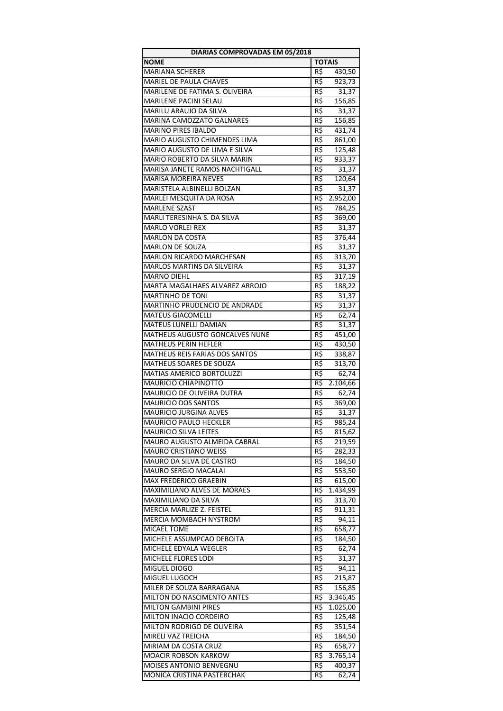| DIÁRIAS COMPROVADAS EM 05/2018       |                              |
|--------------------------------------|------------------------------|
| <b>NOME</b>                          | <b>TOTAIS</b>                |
| <b>MARIANA SCHERER</b>               | R\$<br>430,50                |
| MARIEL DE PAULA CHAVES               | $R\zeta$<br>923,73           |
| MARILENE DE FATIMA S. OLIVEIRA       | $R\zeta$<br>31,37            |
| MARILENE PACINI SELAU                | R\$<br>156,85                |
| MARILU ARAUJO DA SILVA               | R\$<br>31,37                 |
| MARINA CAMOZZATO GALNARES            | R\$<br>156,85                |
| <b>MARINO PIRES IBALDO</b>           | $R\zeta$<br>431,74           |
| <b>MARIO AUGUSTO CHIMENDES LIMA</b>  | R\$<br>861,00                |
| MARIO AUGUSTO DE LIMA E SILVA        | $R\zeta$<br>125,48           |
| MARIO ROBERTO DA SILVA MARIN         | R\$<br>933,37                |
| MARISA JANETE RAMOS NACHTIGALL       | R\$<br>31,37                 |
| <b>MARISA MOREIRA NEVES</b>          | $R\zeta$<br>120,64           |
| MARISTELA ALBINELLI BOLZAN           | R\$<br>31,37                 |
| MARLEI MESQUITA DA ROSA              | R\$<br>2.952,00              |
| <b>MARLENE SZAST</b>                 | R\$<br>784,25                |
| MARLI TERESINHA S. DA SILVA          | R\$<br>369,00                |
| <b>MARLO VORLEI REX</b>              | R\$<br>31,37                 |
| <b>MARLON DA COSTA</b>               | R\$<br>376,44                |
| MARLON DE SOUZA                      | R\$<br>31,37                 |
| MARLON RICARDO MARCHESAN             | R\$<br>313,70                |
| MARLOS MARTINS DA SILVEIRA           | $R\frac{1}{2}$<br>31,37      |
| <b>MARNO DIEHL</b>                   | R\$<br>317,19                |
| MARTA MAGALHAES ALVAREZ ARROJO       | R\$<br>188,22                |
| <b>MARTINHO DE TONI</b>              | R\$<br>31,37                 |
| <b>MARTINHO PRUDENCIO DE ANDRADE</b> | $R\zeta$<br>31,37            |
| <b>MATEUS GIACOMELLI</b>             | R\$<br>62,74                 |
| MATEUS LUNELLI DAMIAN                | R\$<br>31,37                 |
| MATHEUS AUGUSTO GONCALVES NUNE       | $R\zeta$<br>451,00           |
| <b>MATHEUS PERIN HEFLER</b>          | R\$<br>430,50                |
| MATHEUS REIS FARIAS DOS SANTOS       | $R\zeta$<br>338,87           |
| MATHEUS SOARES DE SOUZA              | $R\zeta$<br>313,70           |
| MATIAS AMERICO BORTOLUZZI            | $R\overline{5}$<br>62,74     |
| MAURICIO CHIAPINOTTO                 | R\$<br>2.104,66              |
| MAURICIO DE OLIVEIRA DUTRA           | $R\frac{2}{3}$<br>62,74      |
| <b>MAURICIO DOS SANTOS</b>           | R\$<br>369,00                |
| MAURICIO JURGINA ALVES               | R\$<br>31,37                 |
| <b>MAURICIO PAULO HECKLER</b>        | $R\zeta$<br>985,24           |
| <b>MAURICIO SILVA LEITES</b>         | R\$<br>815,62                |
| MAURO AUGUSTO ALMEIDA CABRAL         | R\$<br>219,59                |
| <b>MAURO CRISTIANO WEISS</b>         | $R\zeta$<br>282,33           |
| MAURO DA SILVA DE CASTRO             | $R\zeta$<br>184,50           |
| <b>MAURO SERGIO MACALAI</b>          | R\$<br>553,50                |
| <b>MAX FREDERICO GRAEBIN</b>         | R\$<br>615,00                |
| MAXIMILIANO ALVES DE MORAES          | $R\overline{S}$              |
| MAXIMILIANO DA SILVA                 | 1.434,99<br>R\$<br>313,70    |
| MERCIA MARLIZE Z. FEISTEL            | R\$<br>911,31                |
| <b>MERCIA MOMBACH NYSTROM</b>        | $R\zeta$                     |
|                                      | 94,11                        |
| <b>MICAEL TOME</b>                   | R\$<br>658,77                |
| MICHELE ASSUMPCAO DEBOITA            | $R\zeta$<br>184,50           |
| MICHELE EDYALA WEGLER                | R\$<br>62,74                 |
| MICHELE FLORES LODI                  | R\$<br>31,37                 |
| MIGUEL DIOGO                         | $R\zeta$<br>94,11            |
| MIGUEL LUGOCH                        | $R\zeta$<br>215,87           |
| MILER DE SOUZA BARRAGANA             | R\$<br>156,85                |
| MILTON DO NASCIMENTO ANTES           | R\$<br>3.346,45              |
| <b>MILTON GAMBINI PIRES</b>          | R\$<br>1.025,00              |
| MILTON INACIO CORDEIRO               | R\$<br>125,48                |
| MILTON RODRIGO DE OLIVEIRA           | R\$<br>351,54                |
| MIRELI VAZ TREICHA                   | $R\frac{2}{3}$<br>184,50     |
| MIRIAM DA COSTA CRUZ                 | $R\zeta$<br>658,77           |
| <b>MOACIR ROBSON KARKOW</b>          | R\$<br>3.765,14              |
| MOISES ANTONIO BENVEGNU              | R\$<br>$\overline{400}$ , 37 |
| MONICA CRISTINA PASTERCHAK           | R\$<br>62,74                 |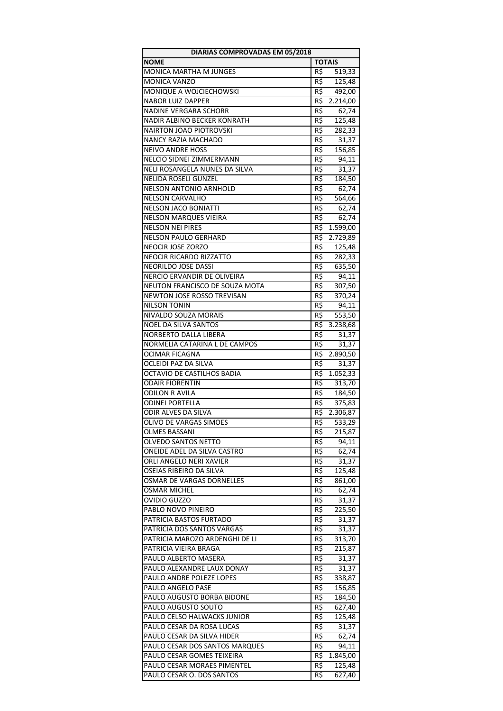| DIÁRIAS COMPROVADAS EM 05/2018   |                                                        |
|----------------------------------|--------------------------------------------------------|
| <b>NOME</b>                      | <b>TOTAIS</b>                                          |
| <b>MONICA MARTHA M JUNGES</b>    | R\$<br>519,33                                          |
| MONICA VANZO                     | R\$<br>125,48                                          |
| MONIQUE A WOJCIECHOWSKI          | $R\zeta$<br>492,00                                     |
| <b>NABOR LUIZ DAPPER</b>         | R\$<br>2.214,00                                        |
| <b>NADINE VERGARA SCHORR</b>     | R\$<br>62,74                                           |
| NADIR ALBINO BECKER KONRATH      | R\$<br>125,48                                          |
| <b>NAIRTON JOAO PIOTROVSKI</b>   | R\$<br>282,33                                          |
| <b>NANCY RAZIA MACHADO</b>       | $R\zeta$<br>31,37                                      |
| <b>NEIVO ANDRE HOSS</b>          | $R\frac{1}{2}$<br>156,85                               |
|                                  |                                                        |
| NELCIO SIDNEI ZIMMERMANN         | $R\overline{S}$<br>94,11                               |
| NELI ROSANGELA NUNES DA SILVA    | $R\frac{1}{2}$<br>31,37                                |
| NELIDA ROSELI GUNZEL             | R\$<br>184,50                                          |
| NELSON ANTONIO ARNHOLD           | $R\zeta$<br>62,74                                      |
| <b>NELSON CARVALHO</b>           | $R\overline{S}$<br>564,66                              |
| <b>NELSON JACO BONIATTI</b>      | R\$<br>62,74                                           |
| NELSON MARQUES VIEIRA            | R5<br>62,74                                            |
| <b>NELSON NEI PIRES</b>          | R\$<br>1.599,00                                        |
| <b>NELSON PAULO GERHARD</b>      | $R\frac{2}{3}$<br>2.729,89                             |
| <b>NEOCIR JOSE ZORZO</b>         | $R\zeta$<br>125,48                                     |
| NEOCIR RICARDO RIZZATTO          | R5<br>282,33                                           |
| NEORILDO JOSE DASSI              | $R\overline{5}$ 635,50                                 |
| NERCIO ERVANDIR DE OLIVEIRA      | $R\zeta$<br>94,11                                      |
| NEUTON FRANCISCO DE SOUZA MOTA   | $R\zeta$<br>307,50                                     |
| NEWTON JOSE ROSSO TREVISAN       | $R\frac{1}{2}$<br>370,24                               |
| <b>NILSON TONIN</b>              | $R\frac{2}{3}$<br>94,11                                |
| NIVALDO SOUZA MORAIS             | $R\overline{S}$<br>553,50                              |
| <b>NOEL DA SILVA SANTOS</b>      | $R\zeta$<br>3.238,68                                   |
| <b>NORBERTO DALLA LIBERA</b>     | $R\zeta$<br>31,37                                      |
| NORMELIA CATARINA L DE CAMPOS    | $R\zeta$                                               |
|                                  | 31,37                                                  |
| <b>OCIMAR FICAGNA</b>            | R\$<br>2.890,50                                        |
| <b>OCLEIDI PAZ DA SILVA</b>      | R\$<br>31,37                                           |
| OCTAVIO DE CASTILHOS BADIA       | $R\overline{S}$<br>1.052,33                            |
| <b>ODAIR FIORENTIN</b>           | R\$<br>313,70                                          |
| <b>ODILON R AVILA</b>            | $R\frac{1}{2}$<br>184,50                               |
| <b>ODINEI PORTELLA</b>           | $R\frac{1}{2}$<br>375,83                               |
| <b>ODIR ALVES DA SILVA</b>       | R\$<br>2.306,87                                        |
| OLIVO DE VARGAS SIMOES           | $R\zeta$<br>$\overline{533,29}$                        |
| <b>OLMES BASSANI</b>             | R\$<br>215,87                                          |
| <b>OLVEDO SANTOS NETTO</b>       | R\$<br>94,11                                           |
| ONEIDE ADEL DA SILVA CASTRO      | $R\zeta$<br>62,74                                      |
| ORLI ANGELO NERI XAVIER          | $R\zeta$<br>31,37                                      |
| <b>OSEIAS RIBEIRO DA SILVA</b>   | R\$<br>125,48                                          |
| <b>OSMAR DE VARGAS DORNELLES</b> | R\$<br>861,00                                          |
| <b>OSMAR MICHEL</b>              | R\$<br>62,74                                           |
| OVIDIO GUZZO                     | R5<br>31,37                                            |
| PABLO NOVO PINEIRO               | R\$<br>225,50                                          |
| PATRICIA BASTOS FURTADO          | $R\frac{2}{3}$<br>31,37                                |
| PATRICIA DOS SANTOS VARGAS       | $R\frac{2}{3}$<br>31,37                                |
| PATRICIA MAROZO ARDENGHI DE LI   | R\$<br>313,70                                          |
| PATRICIA VIEIRA BRAGA            | R\$<br>215,87                                          |
|                                  | $R\zeta$                                               |
| PAULO ALBERTO MASERA             | 31,37<br>$R\overline{S}$                               |
| PAULO ALEXANDRE LAUX DONAY       | 31,37                                                  |
| PAULO ANDRE POLEZE LOPES         | R\$<br>338,87                                          |
| PAULO ANGELO PASE                | R\$<br>156,85                                          |
| PAULO AUGUSTO BORBA BIDONE       | R\$<br>184,50                                          |
| PAULO AUGUSTO SOUTO              | R\$<br>627,40                                          |
| PAULO CELSO HALWACKS JUNIOR      | R\$<br>125,48                                          |
| PAULO CESAR DA ROSA LUCAS        | R5<br>31,37                                            |
| PAULO CESAR DA SILVA HIDER       | R\$<br>62,74                                           |
| PAULO CESAR DOS SANTOS MARQUES   | $R\zeta$<br>94,11                                      |
| PAULO CESAR GOMES TEIXEIRA       | R\$<br>1.845,00                                        |
| PAULO CESAR MORAES PIMENTEL      | R\$<br>125,48                                          |
| PAULO CESAR O. DOS SANTOS        | $\overline{\mathsf{R}}\overline{\mathsf{S}}$<br>627,40 |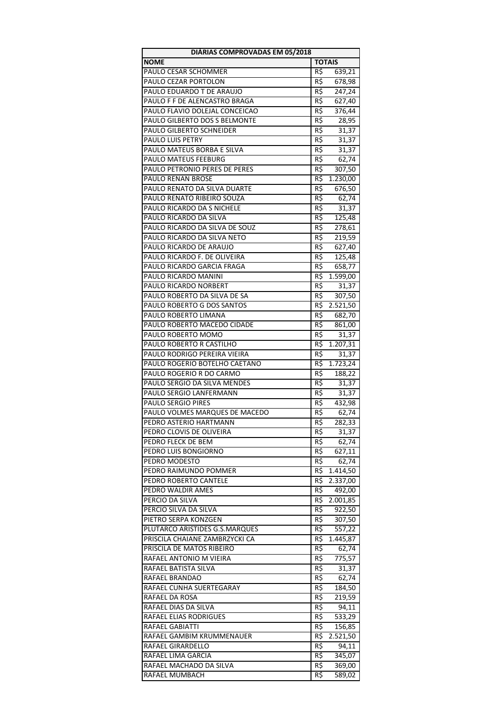| DIÁRIAS COMPROVADAS EM 05/2018                             |                             |
|------------------------------------------------------------|-----------------------------|
| <b>NOME</b>                                                | <b>TOTAIS</b>               |
| PAULO CESAR SCHOMMER                                       | R\$<br>639,21               |
| PAULO CEZAR PORTOLON                                       | $R\zeta$<br>678,98          |
| PAULO EDUARDO T DE ARAUJO                                  | $R\zeta$<br>247,24          |
| PAULO F F DE ALENCASTRO BRAGA                              | R\$<br>627,40               |
| PAULO FLAVIO DOLEJAL CONCEICAO                             | $R\zeta$<br>376,44          |
| PAULO GILBERTO DOS S BELMONTE                              | R\$<br>28,95                |
| PAULO GILBERTO SCHNEIDER                                   | R\$<br>31,37                |
| PAULO LUIS PETRY                                           | R\$<br>31,37                |
| PAULO MATEUS BORBA E SILVA                                 | $R\zeta$<br>31,37           |
| PAULO MATEUS FEEBURG                                       | R\$<br>62,74                |
| PAULO PETRONIO PERES DE PERES                              | R\$<br>307,50               |
| PAULO RENAN BROSE                                          | $R\zeta$<br>1.230,00        |
| PAULO RENATO DA SILVA DUARTE                               | R\$<br>676,50               |
| PAULO RENATO RIBEIRO SOUZA                                 | $R\overline{S}$<br>62,74    |
| PAULO RICARDO DA S NICHELE                                 | R\$<br>31,37                |
| PAULO RICARDO DA SILVA                                     | R5<br>125,48                |
| PAULO RICARDO DA SILVA DE SOUZ                             | R\$<br>278,61               |
| PAULO RICARDO DA SILVA NETO                                | $R\zeta$<br>219,59          |
| PAULO RICARDO DE ARAUJO                                    | $R\frac{2}{3}$<br>627,40    |
| PAULO RICARDO F. DE OLIVEIRA                               | R\$<br>125,48               |
| PAULO RICARDO GARCIA FRAGA                                 | R\$<br>658,77               |
| PAULO RICARDO MANINI                                       | $R\frac{2}{3}$              |
| <b>PAULO RICARDO NORBERT</b>                               | 1.599,00<br>R\$             |
|                                                            | 31,37<br>$R\zeta$           |
| PAULO ROBERTO DA SILVA DE SA<br>PAULO ROBERTO G DOS SANTOS | 307,50<br>R\$<br>2.521,50   |
|                                                            |                             |
| PAULO ROBERTO LIMANA                                       | R\$<br>682,70<br>R\$        |
| PAULO ROBERTO MACEDO CIDADE                                | 861,00                      |
| PAULO ROBERTO MOMO                                         | $R\zeta$<br>31,37           |
| PAULO ROBERTO R CASTILHO                                   | $R\zeta$<br>1.207,31        |
| PAULO RODRIGO PEREIRA VIEIRA                               | $R\zeta$<br>31,37           |
| PAULO ROGERIO BOTELHO CAETANO                              | R\$<br>1.723,24             |
| PAULO ROGERIO R DO CARMO                                   | R5<br>188,22                |
| PAULO SERGIO DA SILVA MENDES                               | R5<br>31,37                 |
| PAULO SERGIO LANFERMANN                                    | $R\zeta$<br>31,37           |
| <b>PAULO SERGIO PIRES</b>                                  | $R\frac{1}{2}$<br>432,98    |
| PAULO VOLMES MARQUES DE MACEDO                             | R\$<br>62,74                |
| PEDRO ASTERIO HARTMANN                                     | R\$<br>282,33               |
| PEDRO CLOVIS DE OLIVEIRA                                   | 31,37<br>R\$                |
| PEDRO FLECK DE BEM                                         | R\$<br>62,74                |
| PEDRO LUIS BONGIORNO                                       | R\$<br>627,11               |
| PEDRO MODESTO                                              | R\$<br>62,74                |
| PEDRO RAIMUNDO POMMER                                      | R\$<br>1.414,50             |
| PEDRO ROBERTO CANTELE                                      | R\$<br>2.337,00             |
| PEDRO WALDIR AMES                                          | R\$<br>492,00               |
| PERCIO DA SILVA                                            | $R\overline{S}$<br>2.001,85 |
| PERCIO SILVA DA SILVA                                      | R\$<br>922,50               |
| PIETRO SERPA KONZGEN                                       | $R\frac{2}{3}$<br>307,50    |
| PLUTARCO ARISTIDES G.S.MARQUES                             | R\$<br>557,22               |
| PRISCILA CHAIANE ZAMBRZYCKI CA                             | R\$<br>1.445,87             |
| PRISCILA DE MATOS RIBEIRO                                  | R\$<br>62,74                |
| RAFAEL ANTONIO M VIEIRA                                    | R\$<br>775,57               |
| RAFAEL BATISTA SILVA                                       | $R\overline{5}$<br>31,37    |
| RAFAEL BRANDAO                                             | R\$<br>62,74                |
| RAFAEL CUNHA SUERTEGARAY                                   | R\$<br>184,50               |
| RAFAEL DA ROSA                                             | R\$<br>219,59               |
| RAFAEL DIAS DA SILVA                                       | R\$<br>94,11                |
| RAFAEL ELIAS RODRIGUES                                     | R\$<br>533,29               |
| RAFAEL GABIATTI                                            | R\$<br>156,85               |
| RAFAEL GAMBIM KRUMMENAUER                                  | R\$<br>2.521,50             |
| RAFAEL GIRARDELLO                                          | $R\zeta$<br>94,11           |
| RAFAEL LIMA GARCIA                                         | R\$<br>345,07               |
| RAFAEL MACHADO DA SILVA                                    | R\$<br>369,00               |
| RAFAEL MUMBACH                                             | R\$<br>589,02               |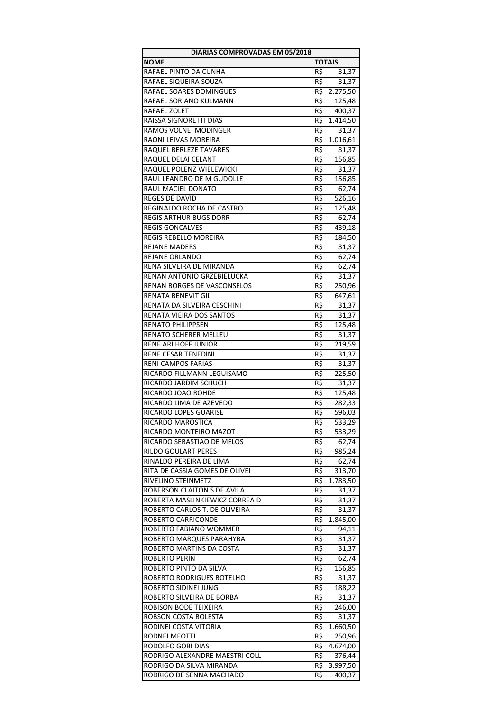| DIÁRIAS COMPROVADAS EM 05/2018 |                          |  |
|--------------------------------|--------------------------|--|
| <b>NOME</b>                    | <b>TOTAIS</b>            |  |
| RAFAEL PINTO DA CUNHA          | 31,37<br>R\$             |  |
| RAFAEL SIQUEIRA SOUZA          | $R\zeta$<br>31,37        |  |
| RAFAEL SOARES DOMINGUES        | R\$<br>2.275,50          |  |
| RAFAEL SORIANO KULMANN         | R\$<br>125,48            |  |
| RAFAEL ZOLET                   | R\$<br>400,37            |  |
| RAISSA SIGNORETTI DIAS         | R\$<br>1.414,50          |  |
| RAMOS VOLNEI MODINGER          | $R\zeta$<br>31,37        |  |
| RAONI LEIVAS MOREIRA           | R\$<br>1.016,61          |  |
| RAQUEL BERLEZE TAVARES         | $R\frac{2}{3}$<br>31,37  |  |
| RAQUEL DELAI CELANT            | R\$<br>156,85            |  |
| RAQUEL POLENZ WIELEWICKI       | R\$<br>31,37             |  |
| RAUL LEANDRO DE M GUDOLLE      | R\$<br>156,85            |  |
| RAUL MACIEL DONATO             | R\$<br>62,74             |  |
| REGES DE DAVID                 | $R\zeta$<br>526,16       |  |
| REGINALDO ROCHA DE CASTRO      | R\$<br>125,48            |  |
| <b>REGIS ARTHUR BUGS DORR</b>  | R\$<br>62,74             |  |
| <b>REGIS GONCALVES</b>         | $R\zeta$<br>439,18       |  |
| REGIS REBELLO MOREIRA          | R\$<br>184,50            |  |
| <b>REJANE MADERS</b>           | R5<br>31,37              |  |
| <b>REJANE ORLANDO</b>          | R\$<br>62,74             |  |
| RENA SILVEIRA DE MIRANDA       | $R\zeta$<br>62,74        |  |
| RENAN ANTONIO GRZEBIELUCKA     | $R\frac{2}{3}$<br>31,37  |  |
| RENAN BORGES DE VASCONSELOS    | R\$<br>250,96            |  |
| RENATA BENEVIT GIL             | R\$<br>647,61            |  |
| RENATA DA SILVEIRA CESCHINI    | $R\zeta$<br>31,37        |  |
| RENATA VIEIRA DOS SANTOS       | R\$<br>31,37             |  |
| <b>RENATO PHILIPPSEN</b>       | R\$<br>125,48            |  |
| RENATO SCHERER MELLEU          | $R\zeta$<br>31,37        |  |
| <b>RENE ARI HOFF JUNIOR</b>    | R\$<br>219,59            |  |
| <b>RENE CESAR TENEDINI</b>     | $R\zeta$<br>31,37        |  |
| RENI CAMPOS FARIAS             | R\$<br>31,37             |  |
| RICARDO FILLMANN LEGUISAMO     | R\$<br>225,50            |  |
| RICARDO JARDIM SCHUCH          | R\$<br>31,37             |  |
| RICARDO JOAO ROHDE             | $R\frac{2}{3}$<br>125,48 |  |
| RICARDO LIMA DE AZEVEDO        | R\$<br>282,33            |  |
| <b>RICARDO LOPES GUARISE</b>   | R\$<br>596,03            |  |
| RICARDO MAROSTICA              | $R\zeta$<br>533,29       |  |
| RICARDO MONTEIRO MAZOT         | 533,29<br>R\$            |  |
| RICARDO SEBASTIAO DE MELOS     | R\$<br>62,74             |  |
| <b>RILDO GOULART PERES</b>     | R\$<br>985,24            |  |
| RINALDO PEREIRA DE LIMA        | $R\zeta$<br>62,74        |  |
| RITA DE CASSIA GOMES DE OLIVEI | R\$<br>313,70            |  |
| RIVELINO STEINMETZ             | R\$<br>1.783,50          |  |
| ROBERSON CLAITON S DE AVILA    | R\$<br>31,37             |  |
| ROBERTA MASLINKIEWICZ CORREA D | R\$<br>31,37             |  |
| ROBERTO CARLOS T. DE OLIVEIRA  | R\$<br>31,37             |  |
| ROBERTO CARRICONDE             | R\$<br>1.845,00          |  |
| ROBERTO FABIANO WOMMER         | R\$<br>94,11             |  |
| ROBERTO MARQUES PARAHYBA       | $R\zeta$<br>31,37        |  |
| ROBERTO MARTINS DA COSTA       | $R\zeta$<br>31,37        |  |
| ROBERTO PERIN                  | R\$<br>62,74             |  |
| ROBERTO PINTO DA SILVA         | $R\zeta$<br>156,85       |  |
| ROBERTO RODRIGUES BOTELHO      | $R\zeta$<br>31,37        |  |
| ROBERTO SIDINEI JUNG           | R\$<br>188,22            |  |
| ROBERTO SILVEIRA DE BORBA      | $R\zeta$<br>31,37        |  |
| ROBISON BODE TEIXEIRA          | R\$<br>246,00            |  |
| ROBSON COSTA BOLESTA           | R\$<br>31,37             |  |
| RODINEI COSTA VITORIA          | R\$<br>1.660,50          |  |
| RODNEI MEOTTI                  | R\$<br>250,96            |  |
| RODOLFO GOBI DIAS              | $R\zeta$<br>4.674,00     |  |
| RODRIGO ALEXANDRE MAESTRI COLL | R\$<br>376,44            |  |
| RODRIGO DA SILVA MIRANDA       | R\$<br>3.997,50          |  |
| RODRIGO DE SENNA MACHADO       | R\$<br>400,37            |  |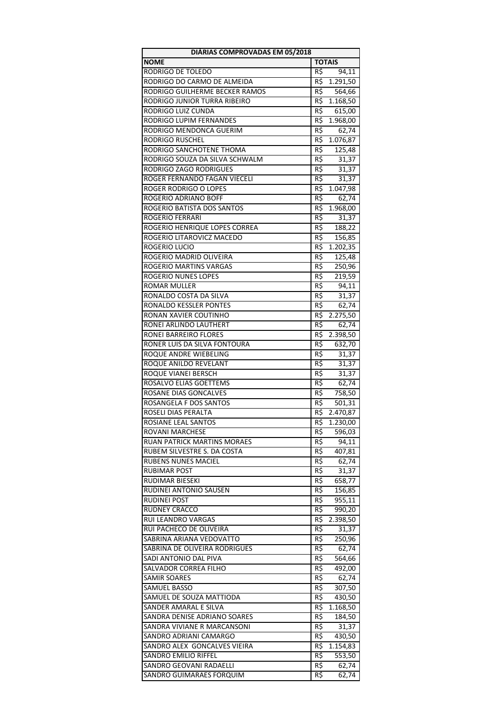| DIÁRIAS COMPROVADAS EM 05/2018             |                                            |
|--------------------------------------------|--------------------------------------------|
| <b>NOME</b>                                | <b>TOTAIS</b>                              |
| RODRIGO DE TOLEDO                          | R\$<br>94,11                               |
| RODRIGO DO CARMO DE ALMEIDA                | 1.291,50<br>R\$                            |
| RODRIGO GUILHERME BECKER RAMOS             | R\$<br>564,66                              |
| RODRIGO JUNIOR TURRA RIBEIRO               | R\$<br>1.168,50                            |
| RODRIGO LUIZ CUNDA                         | R\$<br>615,00                              |
| RODRIGO LUPIM FERNANDES                    | R\$<br>1.968,00                            |
| RODRIGO MENDONCA GUERIM                    | $R\frac{2}{3}$<br>62,74                    |
| RODRIGO RUSCHEL                            | $R\overline{S}$<br>1.076,87                |
| RODRIGO SANCHOTENE THOMA                   | R\$<br>125,48                              |
| RODRIGO SOUZA DA SILVA SCHWALM             | R\$<br>31,37                               |
| RODRIGO ZAGO RODRIGUES                     | R\$<br>31,37                               |
| ROGER FERNANDO FAGAN VIECELI               | $R\zeta$<br>31,37                          |
| ROGER RODRIGO O LOPES                      | R\$<br>1.047,98                            |
| ROGERIO ADRIANO BOFF                       | $R\zeta$<br>62,74                          |
| ROGERIO BATISTA DOS SANTOS                 | $R\zeta$<br>1.968,00                       |
| <b>ROGERIO FERRARI</b>                     | R\$<br>31,37                               |
| ROGERIO HENRIQUE LOPES CORREA              | $R\frac{2}{3}$<br>188,22                   |
| ROGERIO LITAROVICZ MACEDO                  | R\$<br>156,85                              |
| ROGERIO LUCIO                              | R\$<br>1.202,35                            |
| ROGERIO MADRID OLIVEIRA                    | $R\overline{S}$<br>125,48                  |
| ROGERIO MARTINS VARGAS                     | $R\frac{2}{3}$<br>250,96                   |
|                                            |                                            |
| ROGERIO NUNES LOPES<br><b>ROMAR MULLER</b> | $R\zeta$<br>219,59<br>$R\frac{2}{3}$ 94,11 |
|                                            |                                            |
| RONALDO COSTA DA SILVA                     | R\$<br>31,37                               |
| RONALDO KESSLER PONTES                     | $R\zeta$<br>62,74                          |
| RONAN XAVIER COUTINHO                      | $R\zeta$<br>2.275,50                       |
| RONEI ARLINDO LAUTHERT                     | R\$<br>62,74                               |
| RONEI BARREIRO FLORES                      | R\$<br>2.398,50                            |
| RONER LUIS DA SILVA FONTOURA               | $R\zeta$<br>632,70                         |
| ROQUE ANDRE WIEBELING                      | $R\zeta$<br>31,37                          |
| ROQUE ANILDO REVELANT                      | R\$<br>31,37                               |
| ROQUE VIANEI BERSCH                        | R\$<br>31,37                               |
| ROSALVO ELIAS GOETTEMS                     | $R\overline{5}$<br>62,74                   |
| ROSANE DIAS GONCALVES                      | R5<br>758,50                               |
| ROSANGELA F DOS SANTOS                     | R\$<br>501,31                              |
| ROSELI DIAS PERALTA                        | $\overline{RS}$ 2.470,87                   |
| ROSIANE LEAL SANTOS                        | $R\zeta$<br>1.230,00                       |
| ROVANI MARCHESE                            | R\$<br>596,03                              |
| RUAN PATRICK MARTINS MORAES                | R\$<br>94,11                               |
| RUBEM SILVESTRE S. DA COSTA                | R\$<br>407,81                              |
| <b>RUBENS NUNES MACIEL</b>                 | R\$<br>62,74                               |
| <b>RUBIMAR POST</b>                        | R\$<br>31,37                               |
| RUDIMAR BIESEKI                            | R\$<br>658,77                              |
| RUDINEI ANTONIO SAUSEN                     | $R\zeta$<br>156,85                         |
| <b>RUDINEI POST</b>                        | R\$<br>$\overline{955,11}$                 |
| RUDNEY CRACCO                              | R\$<br>990,20                              |
| RUI LEANDRO VARGAS                         | R\$<br>2.398,50                            |
| RUI PACHECO DE OLIVEIRA                    | $R\zeta$<br>31,37                          |
| SABRINA ARIANA VEDOVATTO                   | R\$<br>250,96                              |
| SABRINA DE OLIVEIRA RODRIGUES              | R\$<br>62,74                               |
| SADI ANTONIO DAL PIVA                      | R\$<br>564,66                              |
| SALVADOR CORREA FILHO                      | R\$<br>492,00                              |
| SAMIR SOARES                               | R\$<br>62,74                               |
| SAMUEL BASSO                               | R\$<br>307,50                              |
| SAMUEL DE SOUZA MATTIODA                   | $R\zeta$<br>430,50                         |
| SANDER AMARAL E SILVA                      | R\$<br>1.168,50                            |
| SANDRA DENISE ADRIANO SOARES               | R\$<br>184,50                              |
| SANDRA VIVIANE R MARCANSONI                | R\$<br>31,37                               |
| SANDRO ADRIANI CAMARGO                     | R\$<br>430,50                              |
| SANDRO ALEX GONCALVES VIEIRA               | R\$<br>1.154,83                            |
| <b>SANDRO EMILIO RIFFEL</b>                | R\$<br>553,50                              |
| SANDRO GEOVANI RADAELLI                    | R\$<br>62,74                               |
| SANDRO GUIMARAES FORQUIM                   | R\$<br>62,74                               |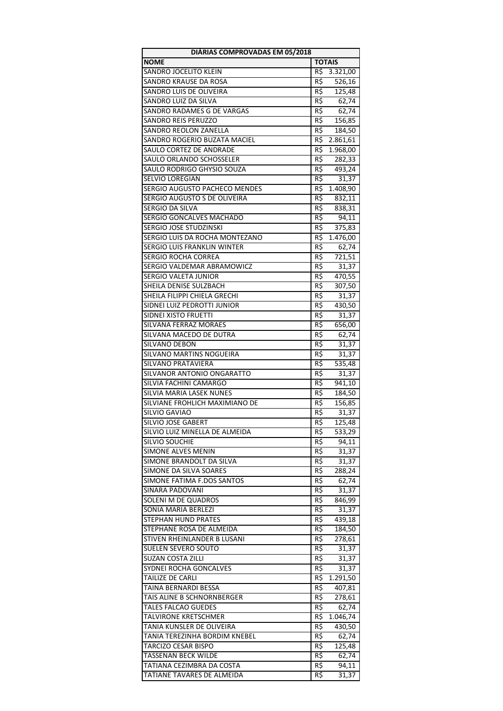| DIÁRIAS COMPROVADAS EM 05/2018 |                           |  |
|--------------------------------|---------------------------|--|
| <b>NOME</b>                    | <b>TOTAIS</b>             |  |
| SANDRO JOCELITO KLEIN          | 3.321,00<br>R\$           |  |
| SANDRO KRAUSE DA ROSA          | R\$<br>526,16             |  |
| SANDRO LUIS DE OLIVEIRA        | $R\zeta$<br>125,48        |  |
| SANDRO LUIZ DA SILVA           | R\$<br>62,74              |  |
| SANDRO RADAMES G DE VARGAS     | R\$<br>62,74              |  |
| SANDRO REIS PERUZZO            | R\$<br>156,85             |  |
| SANDRO REOLON ZANELLA          | $R\overline{5}$<br>184,50 |  |
| SANDRO ROGERIO BUZATA MACIEL   | R\$<br>2.861,61           |  |
| SAULO CORTEZ DE ANDRADE        | R\$                       |  |
|                                | 1.968,00                  |  |
| SAULO ORLANDO SCHOSSELER       | R\$<br>282,33             |  |
| SAULO RODRIGO GHYSIO SOUZA     | $R\zeta$<br>493,24        |  |
| SELVIO LOREGIAN                | R\$<br>31,37              |  |
| SERGIO AUGUSTO PACHECO MENDES  | R\$<br>1.408,90           |  |
| SERGIO AUGUSTO S DE OLIVEIRA   | R\$<br>832,11             |  |
| SERGIO DA SILVA                | R\$<br>838,31             |  |
| SERGIO GONCALVES MACHADO       | R\$<br>94,11              |  |
| SERGIO JOSE STUDZINSKI         | R\$<br>375,83             |  |
| SERGIO LUIS DA ROCHA MONTEZANO | R\$<br>1.476,00           |  |
| SERGIO LUIS FRANKLIN WINTER    | R\$<br>62,74              |  |
| SERGIO ROCHA CORREA            | R\$<br>721,51             |  |
| SERGIO VALDEMAR ABRAMOWICZ     | R\$<br>31,37              |  |
| SERGIO VALETA JUNIOR           | $R\frac{2}{3}$<br>470,55  |  |
| SHEILA DENISE SULZBACH         | R\$<br>307,50             |  |
| SHEILA FILIPPI CHIELA GRECHI   | $R\zeta$<br>31,37         |  |
| SIDNEI LUIZ PEDROTTI JUNIOR    | $R\zeta$<br>430,50        |  |
| SIDNEI XISTO FRUETTI           | R\$<br>31,37              |  |
| SILVANA FERRAZ MORAES          | R\$<br>656,00             |  |
| SILVANA MACEDO DE DUTRA        | $R\zeta$<br>62,74         |  |
| <b>SILVANO DEBON</b>           | $R\zeta$<br>31,37         |  |
| SILVANO MARTINS NOGUEIRA       | R\$<br>31,37              |  |
| <b>SILVANO PRATAVIERA</b>      | R\$                       |  |
|                                | 535,48                    |  |
| SILVANOR ANTONIO ONGARATTO     | R\$<br>31,37              |  |
| SILVIA FACHINI CAMARGO         | R\$<br>941,10             |  |
| SILVIA MARIA LASEK NUNES       | R\$<br>184,50             |  |
| SILVIANE FROHLICH MAXIMIANO DE | R\$<br>156,85             |  |
| SILVIO GAVIAO                  | R\$<br>31,37              |  |
| SILVIO JOSE GABERT             | R\$<br>125,48             |  |
| SILVIO LUIZ MINELLA DE ALMEIDA | R\$<br>533,29             |  |
| <b>SILVIO SOUCHIE</b>          | R\$<br>94,11              |  |
| SIMONE ALVES MENIN             | R\$<br>31,37              |  |
| SIMONE BRANDOLT DA SILVA       | R\$<br>31,37              |  |
| SIMONE DA SILVA SOARES         | R\$<br>288,24             |  |
| SIMONE FATIMA F.DOS SANTOS     | R\$<br>62,74              |  |
| SINARA PADOVANI                | R\$<br>31,37              |  |
| SOLENI M DE QUADROS            | $R\overline{5}$<br>846,99 |  |
| SONIA MARIA BERLEZI            | $R\overline{S}$<br>31,37  |  |
| <b>STEPHAN HUND PRATES</b>     | R\$<br>439,18             |  |
| STEPHANE ROSA DE ALMEIDA       | R\$<br>184,50             |  |
| STIVEN RHEINLANDER B LUSANI    | R\$<br>278,61             |  |
| <b>SUELEN SEVERO SOUTO</b>     | R\$<br>31,37              |  |
| SUZAN COSTA ZILLI              | R\$<br>31,37              |  |
| SYDNEI ROCHA GONCALVES         | R\$<br>31,37              |  |
| TAILIZE DE CARLI               | R\$<br>1.291,50           |  |
|                                |                           |  |
| TAINA BERNARDI BESSA           | R\$<br>407,81             |  |
| TAIS ALINE B SCHNORNBERGER     | R\$<br>278,61             |  |
| <b>TALES FALCAO GUEDES</b>     | R\$<br>62,74              |  |
| TALVIRONE KRETSCHMER           | R\$<br>1.046,74           |  |
| TANIA KUNSLER DE OLIVEIRA      | R\$<br>430,50             |  |
| TANIA TEREZINHA BORDIM KNEBEL  | R\$<br>62,74              |  |
| <b>TARCIZO CESAR BISPO</b>     | $R\zeta$<br>125,48        |  |
| TASSENAN BECK WILDE            | R\$<br>62,74              |  |
| TATIANA CEZIMBRA DA COSTA      | R\$<br>94,11              |  |
| TATIANE TAVARES DE ALMEIDA     | R\$<br>31,37              |  |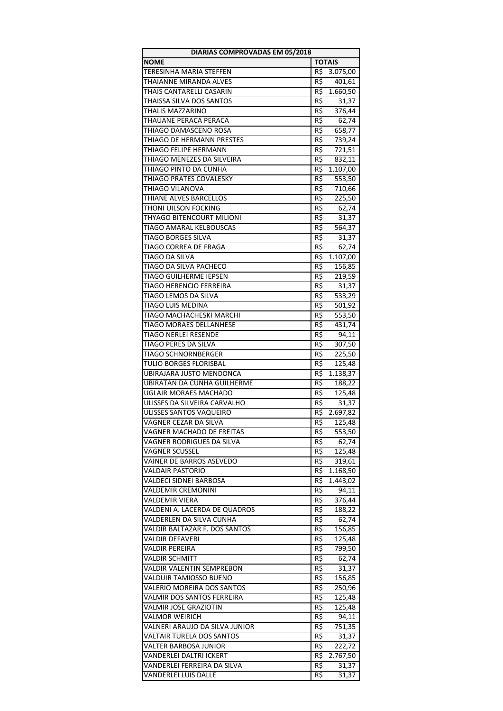| DIÁRIAS COMPROVADAS EM 05/2018     |                           |
|------------------------------------|---------------------------|
| <b>NOME</b>                        | <b>TOTAIS</b>             |
| TERESINHA MARIA STEFFEN            | R\$<br>3.075,00           |
| THAIANNE MIRANDA ALVES             | R\$<br>401,61             |
| THAIS CANTARELLI CASARIN           | 1.660,50<br>R\$           |
| THAISSA SILVA DOS SANTOS           | R\$<br>31,37              |
| THALIS MAZZARINO                   | R\$<br>376,44             |
| THAUANE PERACA PERACA              | $R\zeta$<br>62,74         |
| THIAGO DAMASCENO ROSA              | $R\zeta$<br>658,77        |
| THIAGO DE HERMANN PRESTES          | $R\overline{S}$<br>739,24 |
| THIAGO FELIPE HERMANN              | $R\frac{2}{3}$<br>721,51  |
| THIAGO MENEZES DA SILVEIRA         | $R\frac{2}{3}$<br>832,11  |
| THIAGO PINTO DA CUNHA              | R\$<br>1.107,00           |
| THIAGO PRATES COVALESKY            | R\$<br>553,50             |
| THIAGO VILANOVA                    | $R\frac{2}{3}$<br>710,66  |
| THIANE ALVES BARCELLOS             | $R\overline{S}$<br>225,50 |
| THONI UILSON FOCKING               | R\$<br>62,74              |
| THYAGO BITENCOURT MILIONI          | R\$<br>31,37              |
| TIAGO AMARAL KELBOUSCAS            | $R\zeta$<br>564,37        |
| <b>TIAGO BORGES SILVA</b>          | R\$<br>31,37              |
| <b>TIAGO CORREA DE FRAGA</b>       | R\$<br>62,74              |
| TIAGO DA SILVA                     | R\$<br>1.107,00           |
| TIAGO DA SILVA PACHECO             | R\$<br>156,85             |
| TIAGO GUILHERME IEPSEN             | $R\frac{2}{3}$<br>219,59  |
| <b>TIAGO HERENCIO FERREIRA</b>     | $R\frac{2}{31,37}$        |
| TIAGO LEMOS DA SILVA               | R\$<br>533,29             |
| <b>TIAGO LUIS MEDINA</b>           | $R\zeta$<br>501,92        |
| TIAGO MACHACHESKI MARCHI           | $R\zeta$<br>553,50        |
| TIAGO MORAES DELLANHESE            | R\$<br>431,74             |
| TIAGO NERLEI RESENDE               | $R\zeta$<br>94,11         |
| TIAGO PERES DA SILVA               | $R\zeta$<br>307,50        |
| <b>TIAGO SCHNORNBERGER</b>         | $R\zeta$<br>225,50        |
| TULIO BORGES FLORISBAL             | R\$<br>125,48             |
| <b>UBIRAJARA JUSTO MENDONCA</b>    | R\$<br>1.138,37           |
| <b>UBIRATAN DA CUNHA GUILHERME</b> | $R\overline{S}$<br>188,22 |
| <b>UGLAIR MORAES MACHADO</b>       | R5<br>125,48              |
| ULISSES DA SILVEIRA CARVALHO       | R\$<br>31,37              |
| ULISSES SANTOS VAQUEIRO            | R\$<br>2.697,82           |
| VAGNER CEZAR DA SILVA              | $R\zeta$<br>125,48        |
| VAGNER MACHADO DE FREITAS          | R\$<br>553,50             |
| VAGNER RODRIGUES DA SILVA          | R\$<br>62,74              |
| <b>VAGNER SCUSSEL</b>              | $R\overline{S}$<br>125,48 |
| VAINER DE BARROS ASEVEDO           | R\$<br>319,61             |
| <b>VALDAIR PASTORIO</b>            | R\$<br>1.168,50           |
| <b>VALDECI SIDNEI BARBOSA</b>      | 1.443,02                  |
| <b>VALDEMIR CREMONINI</b>          | R\$<br>R\$<br>94,11       |
| <b>VALDEMIR VIERA</b>              | R\$                       |
| VALDENI A. LACERDA DE QUADROS      | 376,44<br>R5              |
|                                    | 188,22                    |
| VALDERLEN DA SILVA CUNHA           | R\$<br>62,74              |
| VALDIR BALTAZAR F. DOS SANTOS      | $R\zeta$<br>156,85        |
| VALDIR DEFAVERI                    | R\$<br>125,48             |
| VALDIR PEREIRA                     | R\$<br>799,50             |
| <b>VALDIR SCHMITT</b>              | R\$<br>62,74              |
| VALDIR VALENTIN SEMPREBON          | R\$<br>31,37              |
| VALDUIR TAMIOSSO BUENO             | $R\overline{S}$<br>156,85 |
| <b>VALERIO MOREIRA DOS SANTOS</b>  | R\$<br>250,96             |
| VALMIR DOS SANTOS FERREIRA         | R\$<br>125,48             |
| <b>VALMIR JOSE GRAZIOTIN</b>       | R\$<br>125,48             |
| <b>VALMOR WEIRICH</b>              | R\$<br>94,11              |
| VALNERI ARAUJO DA SILVA JUNIOR     | $R\overline{S}$<br>751,35 |
| <b>VALTAIR TURELA DOS SANTOS</b>   | R\$<br>31,37              |
| <b>VALTER BARBOSA JUNIOR</b>       | R\$<br>222,72             |
| VANDERLEI DALTRI ICKERT            | R\$<br>2.767,50           |
| VANDERLEI FERREIRA DA SILVA        | R\$<br>31,37              |
| <b>VANDERLEI LUIS DALLE</b>        | R\$<br>31,37              |